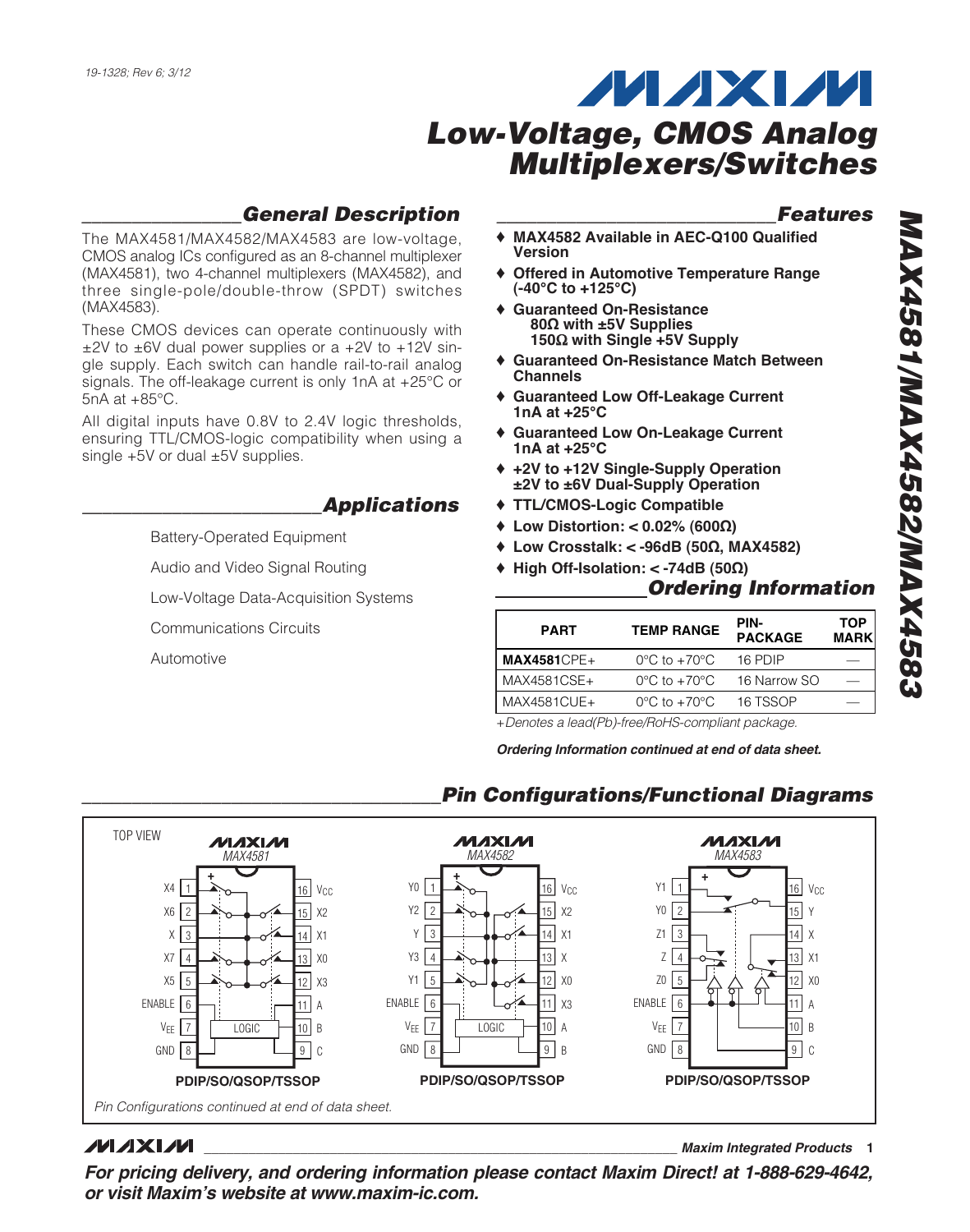## **\_\_\_\_\_\_\_\_\_\_\_\_\_\_\_\_General Description**

The MAX4581/MAX4582/MAX4583 are low-voltage, CMOS analog ICs configured as an 8-channel multiplexer (MAX4581), two 4-channel multiplexers (MAX4582), and three single-pole/double-throw (SPDT) switches (MAX4583).

These CMOS devices can operate continuously with  $\pm$ 2V to  $\pm$ 6V dual power supplies or a  $+2V$  to  $+12V$  single supply. Each switch can handle rail-to-rail analog signals. The off-leakage current is only 1nA at +25°C or 5nA at +85°C.

All digital inputs have 0.8V to 2.4V logic thresholds, ensuring TTL/CMOS-logic compatibility when using a single  $+5V$  or dual  $\pm 5V$  supplies.

### **\_\_\_\_\_\_\_\_\_\_\_\_\_\_\_\_\_\_\_\_\_\_\_\_Applications**

Battery-Operated Equipment

Audio and Video Signal Routing

Low-Voltage Data-Acquisition Systems

Communications Circuits

Automotive

### **\_\_\_\_\_\_\_\_\_\_\_\_\_\_\_\_\_\_\_\_\_\_\_\_\_\_\_\_Features**

- ♦ **MAX4582 Available in AEC-Q100 Qualified Version**
- ♦ **Offered in Automotive Temperature Range (-40°C to +125°C)**
- ♦ **Guaranteed On-Resistance 80Ω with ±5V Supplies 150**Ω **with Single +5V Supply**
- ♦ **Guaranteed On-Resistance Match Between Channels**
- **Guaranteed Low Off-Leakage Current 1nA at +25°C**
- ♦ **Guaranteed Low On-Leakage Current 1nA at +25°C**
- ♦ **+2V to +12V Single-Supply Operation ±2V to ±6V Dual-Supply Operation**
- ♦ **TTL/CMOS-Logic Compatible**
- ♦ **Low Distortion: < 0.02% (600Ω)**
- ♦ **Low Crosstalk: < -96dB (50Ω, MAX4582)**
- ♦ **High Off-Isolation: < -74dB (50Ω)**

### **Ordering Information**

| <b>PART</b>    | <b>TEMP RANGE</b>                | PIN-<br><b>PACKAGE</b> | <b>TOP</b><br><b>MARK</b> |
|----------------|----------------------------------|------------------------|---------------------------|
| $MAX4581$ CPE+ | $0^{\circ}$ C to $+70^{\circ}$ C | 16 PDIP                |                           |
| MAX4581CSE+    | $0^{\circ}$ C to $+70^{\circ}$ C | 16 Narrow SO           |                           |
| MAX4581CUE+    | $0^{\circ}$ C to $+70^{\circ}$ C | 16 TSSOP               |                           |

+Denotes a lead(Pb)-free/RoHS-compliant package.

**Ordering Information continued at end of data sheet.**

**\_\_\_\_\_\_\_\_\_\_\_\_\_\_\_\_\_\_\_\_\_\_\_\_\_\_\_\_\_\_\_\_\_\_\_\_Pin Configurations/Functional Diagrams**



### **MAXM**

**\_\_\_\_\_\_\_\_\_\_\_\_\_\_\_\_\_\_\_\_\_\_\_\_\_\_\_\_\_\_\_\_\_\_\_\_\_\_\_\_\_\_\_\_\_\_\_\_\_\_\_\_\_\_\_\_\_\_\_\_\_\_\_\_ Maxim Integrated Products 1**

**For pricing delivery, and ordering information please contact Maxim Direct! at 1-888-629-4642, or visit Maxim's website at www.maxim-ic.com.**

- 
- 
- 
- 
- 
-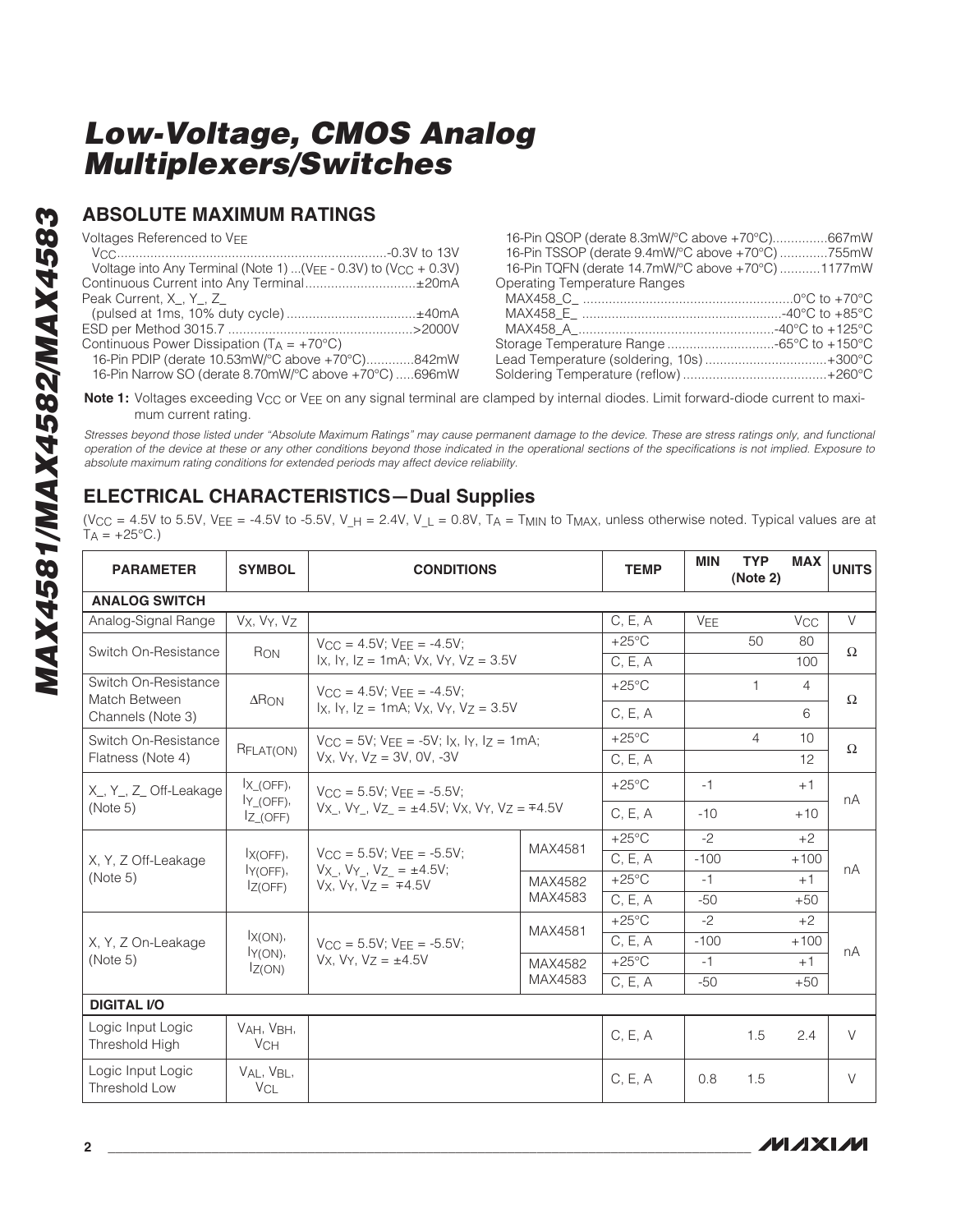### **ABSOLUTE MAXIMUM RATINGS**

Voltages Referenced to VEE

| Voltage into Any Terminal (Note 1)  ( $V_{EE}$ - 0.3V) to ( $V_{CC}$ + 0.3V) |  |
|------------------------------------------------------------------------------|--|
| Continuous Current into Any Terminal±20mA                                    |  |
| Peak Current, X, Y, Z                                                        |  |
| (pulsed at 1ms, 10% duty cycle)±40mA                                         |  |
|                                                                              |  |
| Continuous Power Dissipation ( $T_A = +70^{\circ}C$ )                        |  |
| $16$ Din DDID (dorato $10$ 53m $M/2$ C above $(702)$ 842m $M$                |  |

| 16-Pin PDIP (derate 10.53mW/°C above +70°C)842mW      |  |
|-------------------------------------------------------|--|
| 16-Pin Narrow SO (derate 8.70mW/°C above +70°C) 696mW |  |

| 16-Pin QSOP (derate 8.3mW/°C above +70°C)667mW    |  |
|---------------------------------------------------|--|
| 16-Pin TSSOP (derate 9.4mW/°C above +70°C) 755mW  |  |
| 16-Pin TQFN (derate 14.7mW/°C above +70°C) 1177mW |  |
| Operating Temperature Ranges                      |  |
|                                                   |  |
|                                                   |  |
|                                                   |  |
| Storage Temperature Range -65°C to +150°C         |  |
| Lead Temperature (soldering, 10s)+300°C           |  |
|                                                   |  |
|                                                   |  |

Note 1: Voltages exceeding V<sub>CC</sub> or V<sub>EE</sub> on any signal terminal are clamped by internal diodes. Limit forward-diode current to maximum current rating.

Stresses beyond those listed under "Absolute Maximum Ratings" may cause permanent damage to the device. These are stress ratings only, and functional operation of the device at these or any other conditions beyond those indicated in the operational sections of the specifications is not implied. Exposure to absolute maximum rating conditions for extended periods may affect device reliability.

### **ELECTRICAL CHARACTERISTICS—Dual Supplies**

(VCC = 4.5V to 5.5V, VEE = -4.5V to -5.5V, V\_H = 2.4V, V\_L = 0.8V, TA = TMIN to TMAX, unless otherwise noted. Typical values are at  $T_A = +25^{\circ}C$ .)

| <b>PARAMETER</b>                              | <b>SYMBOL</b>                            | <b>CONDITIONS</b>                                                                                                      | <b>TEMP</b> | <b>MIN</b>                 | <b>TYP</b><br>(Note 2) | <b>MAX</b> | <b>UNITS</b>          |          |
|-----------------------------------------------|------------------------------------------|------------------------------------------------------------------------------------------------------------------------|-------------|----------------------------|------------------------|------------|-----------------------|----------|
| <b>ANALOG SWITCH</b>                          |                                          |                                                                                                                        |             |                            |                        |            |                       |          |
| Analog-Signal Range                           | Vx, Vy, Vz                               |                                                                                                                        |             | C, E, A                    | VEE                    |            | <b>V<sub>CC</sub></b> | $\vee$   |
| Switch On-Resistance                          | RON                                      | $V_{\text{CC}} = 4.5V$ : $V_{\text{FF}} = -4.5V$ :<br>$1x$ , $1y$ , $1z = 1mA$ ; $Vx$ , $Vy$ , $Vz = 3.5V$             |             | $+25^{\circ}$ C<br>C, E, A |                        | 50         | 80<br>100             | $\Omega$ |
| Switch On-Resistance<br>Match Between         | $\Delta$ RON                             | $V_{CC} = 4.5V$ : $V_{FF} = -4.5V$ :                                                                                   |             | $+25^{\circ}$ C            |                        | 1          | $\overline{4}$        | $\Omega$ |
| Channels (Note 3)                             |                                          | $\vert x \vert$ . $\vert y \vert$ . $\vert z = 1$ mA: Vx, Vy, Vz = 3.5V                                                |             | C, E, A                    |                        |            | 6                     |          |
| Switch On-Resistance                          | RFLAT(ON)                                | $V_{CC} = 5V$ ; $V_{FF} = -5V$ ; $I_X$ , $I_Y$ , $I_Z = 1mA$ ;                                                         |             | $+25^{\circ}$ C            |                        | 4          | 10                    | $\Omega$ |
| Flatness (Note 4)                             |                                          | $Vx. Vy. Vz = 3V. 0V. -3V$                                                                                             |             | C, E, A                    |                        |            | 12                    |          |
| X <sub>, Y</sub> , Z <sub>,</sub> Off-Leakage | $\mathsf{I}\times$ (OFF),<br>$IY$ (OFF), | $V_{CC} = 5.5V$ ; $V_{FE} = -5.5V$ ;<br>$V_X$ , $V_Y$ , $V_Z = \pm 4.5V$ ; $V_X$ , $V_Y$ , $V_Z = \mp 4.5V$            |             | $+25^{\circ}$ C            | $-1$                   |            | $+1$                  | nA       |
| (Note 5)                                      | $Z$ (OFF)                                |                                                                                                                        |             | C, E, A                    | $-10$                  |            | $+10$                 |          |
|                                               | $X(OFF)$ ,<br>$IY(OFF)$ ,<br>IZ(OFF)     | $V_{\text{CC}} = 5.5V$ : $V_{\text{FF}} = -5.5V$ :<br>$Vx$ , $Vy$ , $Vz = \pm 4.5V$ ;<br>$Vx$ , $Vy$ , $Vz = \pm 4.5V$ | MAX4581     | $+25^{\circ}$ C            | $-2$                   |            | $+2$                  |          |
| X, Y, Z Off-Leakage                           |                                          |                                                                                                                        |             | C, E, A                    | $-100$                 |            | $+100$                | nA       |
| (Note 5)                                      |                                          |                                                                                                                        | MAX4582     | $+25^{\circ}$ C            | $-1$                   |            | $+1$                  |          |
|                                               |                                          |                                                                                                                        | MAX4583     | C, E, A                    | $-50$                  |            | $+50$                 |          |
|                                               |                                          |                                                                                                                        | MAX4581     | $+25^{\circ}$ C            | $-2$                   |            | $+2$                  |          |
| X, Y, Z On-Leakage                            | $IX(ON)$ ,                               | $V_{CC} = 5.5V$ ; $V_{FF} = -5.5V$ ;                                                                                   |             | C, E, A                    | $-100$                 |            | $+100$                | nA       |
| (Note 5)                                      | $IY(ON)$ ,<br>IZ(ON)                     | $Vx$ , $Vy$ , $Vz = \pm 4.5V$                                                                                          | MAX4582     | $+25^{\circ}$ C            | $-1$                   |            | $+1$                  |          |
|                                               |                                          |                                                                                                                        | MAX4583     | C, E, A                    | $-50$                  |            | $+50$                 |          |
| <b>DIGITAL I/O</b>                            |                                          |                                                                                                                        |             |                            |                        |            |                       |          |
| Logic Input Logic<br><b>Threshold High</b>    | VAH, VBH,<br>VCH                         |                                                                                                                        |             | C, E, A                    |                        | 1.5        | 2.4                   | V        |
| Logic Input Logic<br>Threshold Low            | VAL, VBL,<br><b>V<sub>CL</sub></b>       |                                                                                                                        |             | C, E, A                    | 0.8                    | 1.5        |                       | $\vee$   |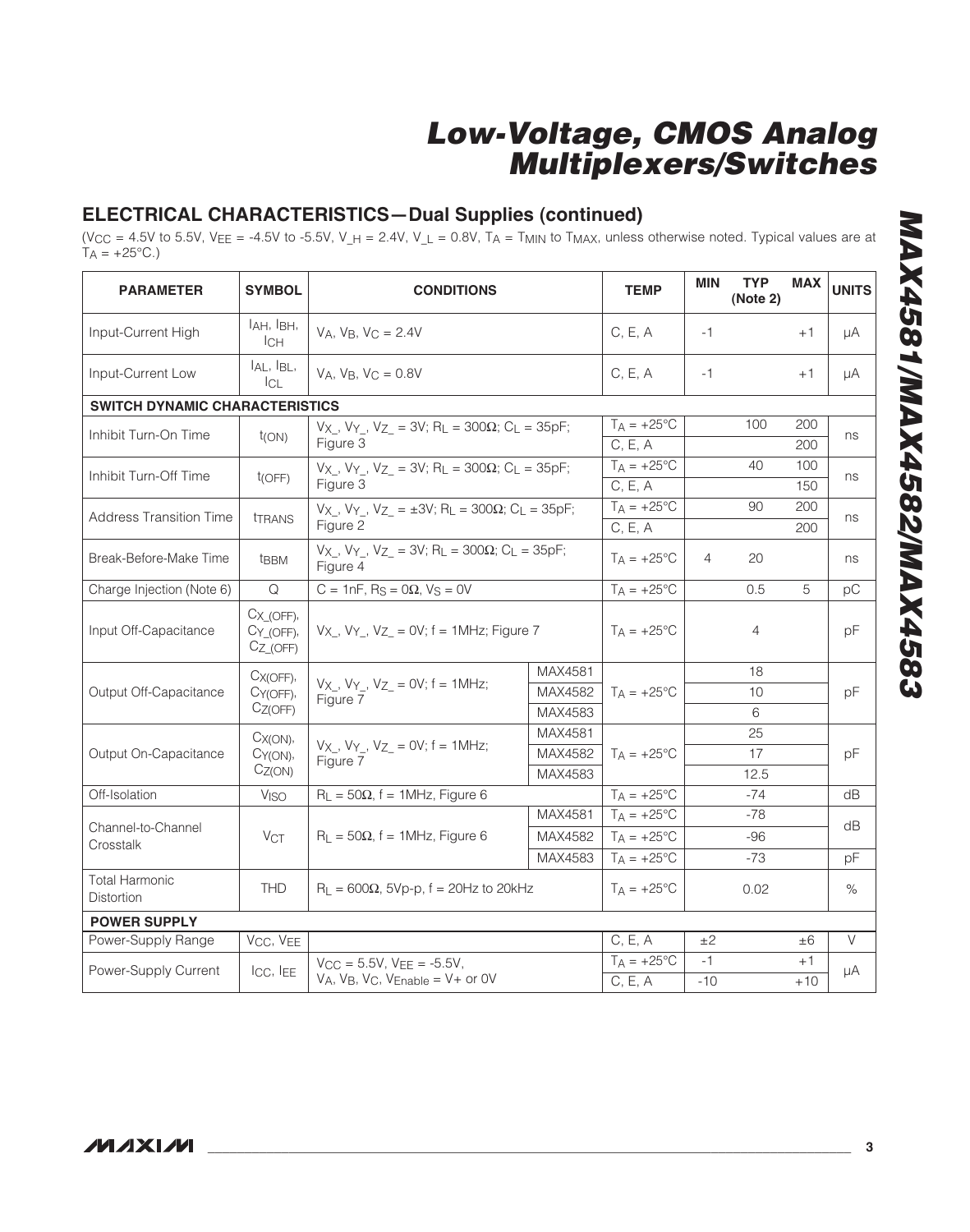## **ELECTRICAL CHARACTERISTICS—Dual Supplies (continued)**

(V $_{\rm CC}$  = 4.5V to 5.5V, V $_{\rm EE}$  = -4.5V to -5.5V, V\_H = 2.4V, V\_L = 0.8V, TA = T<sub>MIN</sub> to T<sub>MAX</sub>, unless otherwise noted. Typical values are at  $T_A = +25^{\circ}C$ .)

| <b>PARAMETER</b>                      | <b>SYMBOL</b>                                               | <b>CONDITIONS</b>                                                                              | <b>TEMP</b>          | MIN                      | <b>TYP</b><br>(Note 2) | <b>MAX</b> | <b>UNITS</b> |        |
|---------------------------------------|-------------------------------------------------------------|------------------------------------------------------------------------------------------------|----------------------|--------------------------|------------------------|------------|--------------|--------|
| Input-Current High                    | I <sub>AH</sub> , I <sub>BH</sub> ,<br>Iсн                  | $VA, VB, VC = 2.4V$                                                                            |                      | C, E, A                  | $-1$                   |            | $+1$         | μA     |
| Input-Current Low                     | $I_{AL}$ , $I_{BL}$ ,<br>$ _{CL}$                           | VA. VB. $VC = 0.8V$                                                                            |                      | C, E, A                  | $-1$                   |            | $+1$         | μA     |
| <b>SWITCH DYNAMIC CHARACTERISTICS</b> |                                                             |                                                                                                |                      |                          |                        |            |              |        |
| Inhibit Turn-On Time                  | $t_{(ON)}$                                                  | Vx, Vy, Vz = 3V; RL = 300 $\Omega$ ; CL = 35pF;                                                |                      | $T_A = +25^{\circ}$ C    |                        | 100        | 200          | ns     |
|                                       |                                                             | Figure 3                                                                                       |                      | C, E, A                  |                        |            | 200          |        |
| Inhibit Turn-Off Time                 | t(OFF)                                                      | $V_X$ , $V_Y$ , $V_Z$ = 3V; R <sub>L</sub> = 300 $\Omega$ ; C <sub>L</sub> = 35pF;             |                      | $T_A = +25$ °C           |                        | 40         | 100          | ns     |
|                                       |                                                             | Figure 3                                                                                       |                      | C, E, A                  |                        |            | 150          |        |
| <b>Address Transition Time</b>        | <b>TERANS</b>                                               | $V_{X}$ , $V_{Y}$ , $V_{Z}$ = ±3V; R <sub>L</sub> = 300 $\Omega$ ; C <sub>L</sub> = 35pF;      |                      | $T_A = +25$ °C           |                        | 90         | 200          | ns     |
|                                       |                                                             | Figure 2                                                                                       |                      | C, E, A                  |                        |            | 200          |        |
| Break-Before-Make Time                | t <sub>BBM</sub>                                            | $V_X$ , $V_Y$ , $V_Z$ = 3V; R <sub>L</sub> = 300 $\Omega$ ; C <sub>L</sub> = 35pF;<br>Figure 4 | $T_A = +25^{\circ}C$ | $\overline{4}$           | 20                     |            | ns           |        |
| Charge Injection (Note 6)             | Q                                                           | C = 1nF, $R_S = 0\Omega$ , $V_S = 0V$                                                          |                      | $T_A = +25$ °C           |                        | 0.5        | 5            | pC     |
| Input Off-Capacitance                 | $C_{X_0(OFF)}$<br>$CY$ <sub>(OFF)</sub> ,<br>$C_{Z_0(OFF)}$ | $V_X$ , $V_Y$ , $V_Z$ = 0V; $f = 1$ MHz; Figure 7                                              | $TA = +25^{\circ}C$  |                          | 4                      |            | pF           |        |
|                                       | $C_{X(OFF)}$                                                |                                                                                                | MAX4581              |                          |                        | 18         |              |        |
| Output Off-Capacitance                | CY(OFF),                                                    | $V_X$ , $V_Y$ , $V_Z$ = 0V; f = 1MHz;<br>Figure 7                                              | MAX4582              | $T_A = +25^{\circ}C$     |                        | 10         |              | pF     |
|                                       | $C_{Z(OFF)}$                                                | MAX4583                                                                                        |                      |                          |                        | 6          |              |        |
|                                       | $C_{X(ON)}$                                                 |                                                                                                | MAX4581              |                          |                        | 25         |              |        |
| Output On-Capacitance                 | CY(ON),                                                     | $V_{X_{-}}$ , $V_{Y_{-}}$ , $V_{Z_{-}}$ = 0V; f = 1MHz;<br>Figure 7                            | MAX4582              | $TA = +25^{\circ}C$      |                        | 17         |              | pF     |
|                                       | CZ(ON)                                                      | MAX4583                                                                                        |                      |                          |                        | 12.5       |              |        |
| Off-Isolation                         | V <sub>ISO</sub>                                            | $R_L = 50\Omega$ , f = 1MHz, Figure 6                                                          |                      | $T_A = +25\overline{°C}$ |                        | $-74$      |              | dB     |
| Channel-to-Channel                    |                                                             |                                                                                                | MAX4581              | $T_A = +25^{\circ}C$     |                        | $-78$      |              | dB     |
| Crosstalk                             | VCT                                                         | $R_L = 50\Omega$ , f = 1MHz, Figure 6                                                          | MAX4582              | $T_A = +25^{\circ}C$     |                        | $-96$      |              |        |
|                                       |                                                             |                                                                                                | MAX4583              | $T_A = +25$ °C           |                        | -73        |              | рF     |
| <b>Total Harmonic</b><br>Distortion   | <b>THD</b>                                                  | $R_L = 600\Omega$ , 5Vp-p, f = 20Hz to 20kHz                                                   |                      | $TA = +25^{\circ}C$      |                        | 0.02       |              | $\%$   |
| <b>POWER SUPPLY</b>                   |                                                             |                                                                                                |                      |                          |                        |            |              |        |
| Power-Supply Range                    | V <sub>CC</sub> , V <sub>EE</sub>                           |                                                                                                |                      | C, E, A                  | ±2                     |            | $\pm 6$      | $\vee$ |
| Power-Supply Current                  | ICC, IEE                                                    | $V_{CC} = 5.5V$ , $V_{EE} = -5.5V$ ,                                                           |                      | $T_A = +25^{\circ}C$     | $-1$                   |            | $+1$         | μA     |
|                                       |                                                             | $V_A$ , $V_B$ , $V_C$ , $V_{Enable} = V +$ or OV                                               |                      | C, E, A                  | $-10$                  |            | $+10$        |        |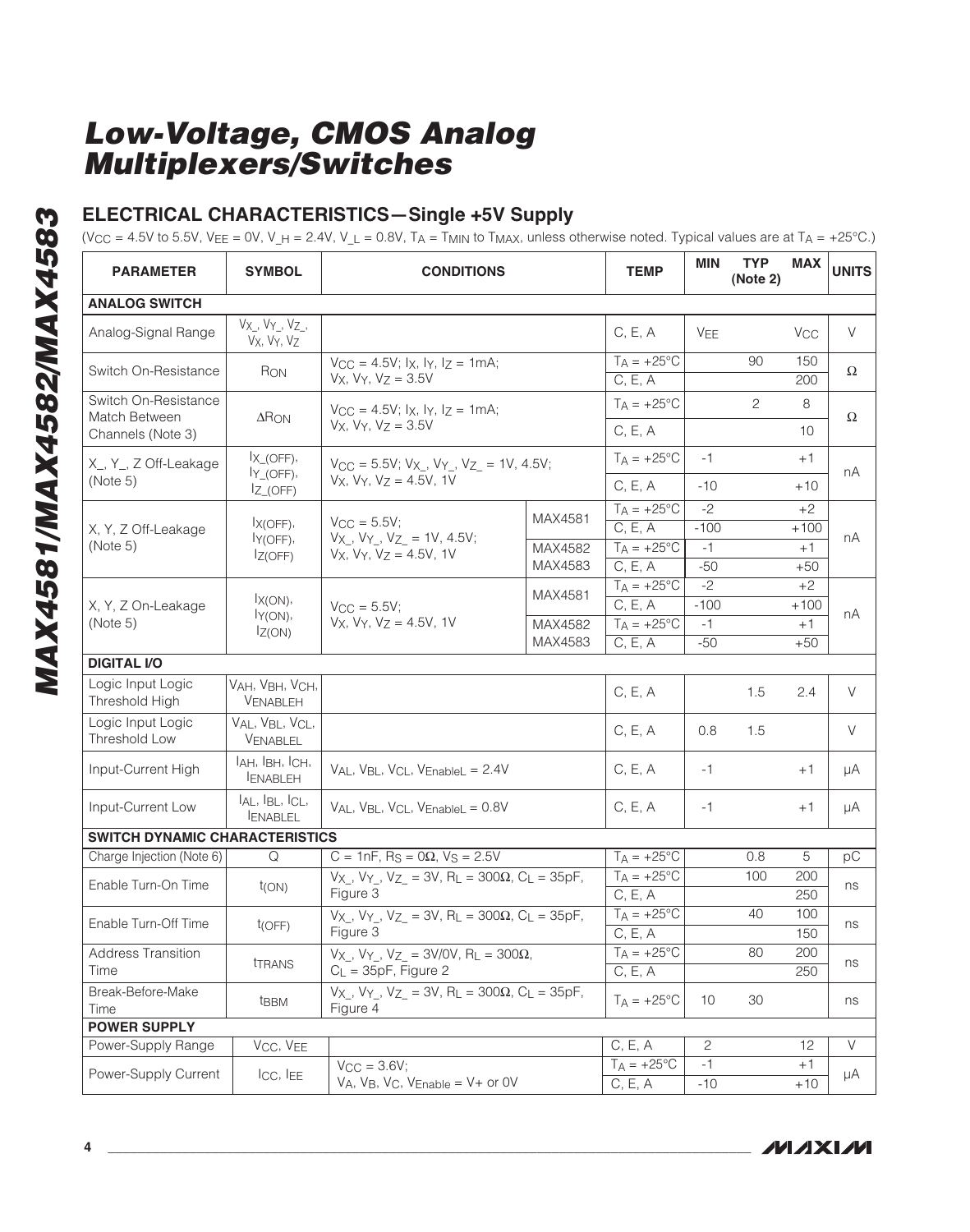### **ELECTRICAL CHARACTERISTICS—Single +5V Supply**

(V $_{\rm CC}$  = 4.5V to 5.5V, V $_{\rm EE}$  = 0V, V\_H = 2.4V, V\_L = 0.8V, T $_{\rm A}$  = T<sub>MIN</sub> to T<sub>MAX</sub>, unless otherwise noted. Typical values are at T $_{\rm A}$  = +25°C.)

| <b>PARAMETER</b>                                        | <b>SYMBOL</b>                                           | <b>CONDITIONS</b>                                                                                           | <b>TEMP</b>          | <b>MIN</b>                      | <b>TYP</b><br>(Note 2) | <b>MAX</b>     | <b>UNITS</b>          |        |
|---------------------------------------------------------|---------------------------------------------------------|-------------------------------------------------------------------------------------------------------------|----------------------|---------------------------------|------------------------|----------------|-----------------------|--------|
| <b>ANALOG SWITCH</b>                                    |                                                         |                                                                                                             |                      |                                 |                        |                |                       |        |
| Analog-Signal Range                                     | $V_{X_{-}}$ , $V_{Y_{-}}$ , $V_{Z_{-}}$ ,<br>Vx, Vy, Vz |                                                                                                             |                      | C, E, A                         | <b>VEE</b>             |                | <b>V<sub>CC</sub></b> | $\vee$ |
| Switch On-Resistance                                    | Ron                                                     | $V_{CC} = 4.5V$ ; $I_X$ , $I_Y$ , $I_Z = 1mA$ ;<br>$Vx, Vy, Vz = 3.5V$                                      |                      | $T_A = +25^{\circ}C$<br>C, E, A |                        | 90             | 150<br>200            | Ω      |
| Switch On-Resistance<br>Match Between                   | $\Delta$ RON                                            | $V_{CC} = 4.5V$ ; $I_X$ , $I_Y$ , $I_Z = 1mA$ ;<br>$V_X$ , $V_Y$ , $V_Z$ = 3.5V                             |                      | $T_A = +25^{\circ}C$            |                        | $\overline{c}$ | 8                     | Ω      |
| Channels (Note 3)                                       |                                                         |                                                                                                             |                      | C, E, A                         |                        |                | 10                    |        |
| X <sub>,</sub> Y <sub>,</sub> Z Off-Leakage<br>(Note 5) | $X$ <sub>(OFF)</sub> ,<br>$IY$ <sub>(OFF)</sub> ,       | $V_{CC} = 5.5V$ ; $V_X$ , $V_Y$ , $V_Z$ = 1V, 4.5V;<br>$V_X$ , $V_Y$ , $V_Z = 4.5V$ , 1V                    |                      | $T_A = +25^{\circ}C$<br>C, E, A | $-1$<br>$-10$          |                | $+1$<br>$+10$         | nA     |
|                                                         | $IZ_$ (OFF)                                             |                                                                                                             |                      | $T_A = \sqrt{+25^\circ C}$      | $-2$                   |                | $+2$                  |        |
| X, Y, Z Off-Leakage                                     | $IX(OFF)$ ,                                             | $V_{CC} = 5.5V$ ;                                                                                           | MAX4581              | C, E, A                         | $-100$                 |                | $+100$                |        |
| (Note 5)                                                | ly(OFF),                                                | $V_X$ , $V_Y$ , $V_Z$ = 1V, 4.5V;                                                                           | MAX4582              | $T_A = +25$ °C                  | $-1$                   |                | $+1$                  | nA     |
|                                                         | IZ(OFF)                                                 | $V_X$ , $V_Y$ , $V_Z$ = 4.5V, 1V                                                                            | MAX4583              | C, E, A                         | $-50$                  |                | $+50$                 |        |
|                                                         |                                                         |                                                                                                             |                      | $T_A = +25\overline{°C}$        | $-2$                   |                | $+2$                  |        |
| X, Y, Z On-Leakage<br>(Note 5)                          | $IX(ON)$ ,                                              | $V_{\rm CC} = 5.5V$ ;                                                                                       | MAX4581              | C, E, A                         | $-100$                 |                | $+100$                | nА     |
|                                                         | ly(ON),<br>IZ(ON)                                       | $V_X$ , $V_Y$ , $V_Z$ = 4.5V, 1V                                                                            | MAX4582              | $T_A = +25$ °C                  | $-1$                   |                | $+1$                  |        |
|                                                         |                                                         |                                                                                                             | MAX4583              | C, E, A                         | $-50$                  |                | $+50$                 |        |
| <b>DIGITAL I/O</b>                                      |                                                         |                                                                                                             |                      |                                 |                        |                |                       |        |
| Logic Input Logic<br>Threshold High                     | VAH, VBH, VCH,<br>VENABLEH                              |                                                                                                             |                      | C, E, A                         |                        | 1.5            | 2.4                   | V      |
| Logic Input Logic<br>Threshold Low                      | VAL, VBL, VCL,<br>VENABLEL                              |                                                                                                             |                      | C, E, A                         | 0.8                    | 1.5            |                       | V      |
| Input-Current High                                      | IAH, IBH, ICH,<br><b>ENABLEH</b>                        | $V_{AL}$ , $V_{BL}$ , $V_{CL}$ , $V_{EnableL} = 2.4V$                                                       |                      | C, E, A                         | $-1$                   |                | $+1$                  | μA     |
| Input-Current Low                                       | $I_{AL}$ , $I_{BL}$ , $I_{CL}$ ,<br><b>ENABLEL</b>      | $V_{AL}$ , $V_{BL}$ , $V_{CL}$ , $V_{Enable} = 0.8V$                                                        |                      | C, E, A                         | $-1$                   |                | $+1$                  | μA     |
| <b>SWITCH DYNAMIC CHARACTERISTICS</b>                   |                                                         |                                                                                                             |                      |                                 |                        |                |                       |        |
| Charge Injection (Note 6)                               | Q                                                       | $C = 1nF$ , R <sub>S</sub> = 0 $\Omega$ , V <sub>S</sub> = 2.5V                                             |                      | $T_A = \overline{+25^{\circ}C}$ |                        | 0.8            | 5                     | pC     |
| Enable Turn-On Time                                     |                                                         | $V_{X}$ , $V_{Y}$ , $V_{Z}$ = 3V, R <sub>L</sub> = 300 $\Omega$ , C <sub>L</sub> = 35pF,                    |                      | $T_A = +25^{\circ}C$            |                        | 100            | 200                   | ns     |
|                                                         | t(ON)                                                   | Figure 3                                                                                                    |                      | C, E, A                         |                        |                | 250                   |        |
| Enable Turn-Off Time                                    | t(OFF)                                                  | $V_{X}$ , $V_{Y}$ , $V_{Z}$ = 3V, R <sub>L</sub> = 300 $\Omega$ , C <sub>L</sub> = 35pF,                    |                      | $T_A = +25^{\circ}C$            |                        | 40             | 100                   | ns     |
|                                                         |                                                         | Figure 3                                                                                                    |                      | C, E, A                         |                        |                | 150                   |        |
| <b>Address Transition</b><br>Time                       | <b><i>ITRANS</i></b>                                    | $V_{X_{-}}$ , $V_{Y_{-}}$ , $V_{Z_{-}} = 3V/0V$ , R <sub>L</sub> = 300 $\Omega$ ,<br>$C_L$ = 35pF, Figure 2 |                      | $T_A = +25$ °C<br>C, E, A       |                        | 80             | 200<br>250            | ns     |
| Break-Before-Make<br>Time                               | t <sub>BBM</sub>                                        | $V_{X}$ , $V_{Y}$ , $V_{Z}$ = 3V, R <sub>L</sub> = 300 $\Omega$ , C <sub>L</sub> = 35pF,<br>Figure 4        | $T_A = +25^{\circ}C$ | 10                              | 30                     |                | ns                    |        |
| <b>POWER SUPPLY</b>                                     |                                                         |                                                                                                             |                      |                                 |                        |                |                       |        |
| Power-Supply Range                                      | V <sub>CC</sub> , V <sub>EE</sub>                       |                                                                                                             |                      | C, E, A                         | $\mathbf{2}$           |                | 12                    | $\vee$ |
| Power-Supply Current                                    | ICC, IEE                                                | $VCC = 3.6V$<br>$VA$ , $VB$ , $VC$ , $V$ Enable = $V$ + or $OV$                                             |                      | $T_A = +25^{\circ}C$<br>C, E, A | $-1$<br>$-10$          |                | $+1$<br>$+10$         | μA     |

**MAXIM**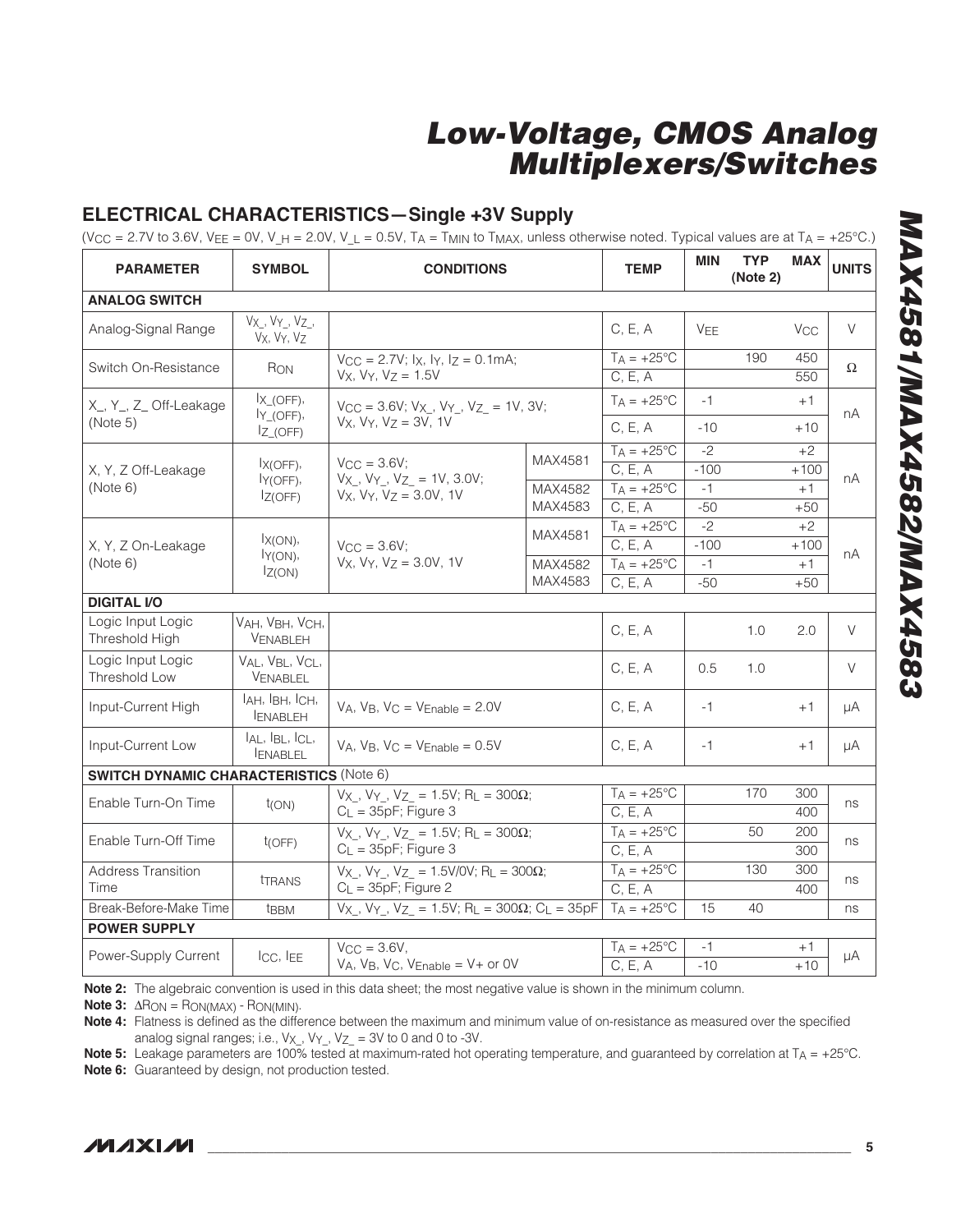### **ELECTRICAL CHARACTERISTICS—Single +3V Supply**

(V $_{\rm CC}$  = 2.7V to 3.6V, V $_{\rm EE}$  = 0V, V\_H = 2.0V, V\_L = 0.5V, T $_{\rm A}$  = T<sub>MIN</sub> to T<sub>MAX</sub>, unless otherwise noted. Typical values are at T $_{\rm A}$  = +25°C.)

| <b>PARAMETER</b>                               | <b>SYMBOL</b>                         | <b>CONDITIONS</b>                                                              | <b>TEMP</b> | <b>MIN</b>                      | <b>TYP</b><br>(Note 2) | <b>MAX</b> | <b>UNITS</b>          |          |
|------------------------------------------------|---------------------------------------|--------------------------------------------------------------------------------|-------------|---------------------------------|------------------------|------------|-----------------------|----------|
| <b>ANALOG SWITCH</b>                           |                                       |                                                                                |             |                                 |                        |            |                       |          |
| Analog-Signal Range                            | $Vx_$ , $Vy_$ , $Vz_$ ,<br>Vx, Vy, Vz |                                                                                |             | C, E, A                         | <b>VFF</b>             |            | <b>V<sub>CC</sub></b> | V        |
| Switch On-Resistance                           | Ron                                   | $V_{CC} = 2.7V$ ; $I_X$ , $I_Y$ , $I_Z = 0.1mA$ ;<br>$Vx$ , $Vy$ , $Vz = 1.5V$ |             | $T_A = +25^{\circ}C$<br>C, E, A |                        | 190        | 450<br>550            | $\Omega$ |
| X_, Y_, Z_ Off-Leakage                         | $IX_0$ (OFF),<br>$IY_ (OFF)$ ,        | $V_{CC} = 3.6V; V_X, V_Y, V_Z = 1V, 3V;$<br>$V_X$ , $V_Y$ , $V_Z$ = 3V, 1V     |             | $T_A = +25^{\circ}C$            | $-1$                   |            | $+1$                  | nA       |
| (Note 5)                                       | $IZ$ <sub>(OFF)</sub>                 |                                                                                |             | C, E, A                         | $-10$                  |            | $+10$                 |          |
|                                                | $IX(OFF)$ ,                           | $VCC = 3.6V$                                                                   | MAX4581     | $T_A = +25^{\circ}C$<br>C, E, A | $-2$<br>$-100$         |            | $+2$                  |          |
| X, Y, Z Off-Leakage<br>(Note 6)                | ly(OFF),                              | $V_{X}$ , $V_{Y}$ , $V_{Z}$ = 1V, 3.0V;                                        | MAX4582     | $T_A = +25^{\circ}C$            | $-1$                   |            | $+100$<br>$+1$        | nA       |
|                                                | IZ(OFF)                               | $V_x$ , $V_y$ , $V_z = 3.0V$ , 1V                                              | MAX4583     | C, E, A                         | $-50$                  |            | $+50$                 |          |
|                                                |                                       |                                                                                |             | $T_A = +25$ °C                  | $-2$                   |            | $+2$                  |          |
| X, Y, Z On-Leakage                             | $IX(ON)$ ,<br>$I_Y(ON)$ ,             | $V_{\text{CC}} = 3.6V$ ;<br>$V_X$ , $V_Y$ , $V_Z$ = 3.0V, 1V                   | MAX4581     | C, E, A                         | $-100$                 |            | $+100$                |          |
| (Note 6)                                       |                                       |                                                                                | MAX4582     | $T_A = +25$ °C                  | $-1$                   |            | $+1$                  | nA       |
|                                                | IZ(ON)                                |                                                                                | MAX4583     | C, E, A                         | $-50$                  |            | $+50$                 |          |
| <b>DIGITAL I/O</b>                             |                                       |                                                                                |             |                                 |                        |            |                       |          |
| Logic Input Logic<br>Threshold High            | VAH, VBH, VCH,<br>VENABLEH            |                                                                                |             | C, E, A                         |                        | 1.0        | 2.0                   | V        |
| Logic Input Logic<br><b>Threshold Low</b>      | VAL, VBL, VCL,<br>VENABLEL            |                                                                                |             | C, E, A                         | 0.5                    | 1.0        |                       | V        |
| Input-Current High                             | IAH, IBH, ICH,<br><b>ENABLEH</b>      | $V_A$ , $V_B$ , $V_C = V_{Enable} = 2.0V$                                      |             | C, E, A                         | $-1$                   |            | $+1$                  | μA       |
| Input-Current Low                              | IAL, IBL, ICL,<br><b>IENABLEL</b>     | $VA$ , $VB$ , $VC = VEnable = 0.5V$                                            |             | C, E, A                         | $-1$                   |            | $+1$                  | μA       |
| <b>SWITCH DYNAMIC CHARACTERISTICS (Note 6)</b> |                                       |                                                                                |             |                                 |                        |            |                       |          |
| Enable Turn-On Time                            | $t_{(ON)}$                            | $Vx$ , $Vy$ , $Vz = 1.5V$ ; RL = 300 $\Omega$ ;                                |             | $T_A = +25^{\circ}C$            |                        | 170        | 300                   | ns       |
|                                                |                                       | $C_L = 35pF$ ; Figure 3                                                        |             | C. E. A                         |                        |            | 400                   |          |
| Enable Turn-Off Time                           | t(OFF)                                | $V_X$ , $V_Y$ , $V_Z$ = 1.5V; R <sub>L</sub> = 300 $\Omega$ ;                  |             | $T_A = +25^{\circ}C$            |                        | 50         | 200                   | ns       |
|                                                |                                       | $C_L = 35pF$ ; Figure 3                                                        |             | C, E, A                         |                        |            | 300                   |          |
| <b>Address Transition</b><br>Time              | <b>THANS</b>                          | Vx, Vy, Vz = 1.5V/0V; RL = 300 $\Omega$ ;<br>$C_L = 35pF$ ; Figure 2           |             | $T_A = +25$ °C<br>C, E, A       |                        | 130        | 300<br>400            | ns       |
| Break-Before-Make Time                         | <b>t</b> BBM                          | $V_{X}$ , $V_{Y}$ , $V_{Z}$ = 1.5V; $R_L$ = 300 $\Omega$ ; $C_L$ = 35pF        |             | $T_A = +25^{\circ}C$            | 15                     | 40         |                       | ns       |
| <b>POWER SUPPLY</b>                            |                                       |                                                                                |             |                                 |                        |            |                       |          |
|                                                |                                       | $V_{CC} = 3.6V,$                                                               |             | $T_A = +25$ °C                  | $-1$                   |            | $+1$                  |          |
| Power-Supply Current                           | Icc, IEE                              | $VA$ , $VB$ , $VC$ , $V$ Enable = $V$ + or $OV$                                |             | C, E, A                         | $-10$                  |            | $+10$                 | $\mu A$  |

**Note 2:** The algebraic convention is used in this data sheet; the most negative value is shown in the minimum column.

**Note 3:**  $\Delta R_{ON} = R_{ON(MAX)} - R_{ON(MIN)}$ .

**Note 4:** Flatness is defined as the difference between the maximum and minimum value of on-resistance as measured over the specified analog signal ranges; i.e.,  $V_X$ ,  $V_Y$ ,  $V_Z$  = 3V to 0 and 0 to -3V.

**Note 5:** Leakage parameters are 100% tested at maximum-rated hot operating temperature, and guaranteed by correlation at T<sub>A</sub> = +25°C.

**Note 6:** Guaranteed by design, not production tested.

**MAX4581/MAX4582/MAX4583 MAX4581/MAX4582/MAX4583**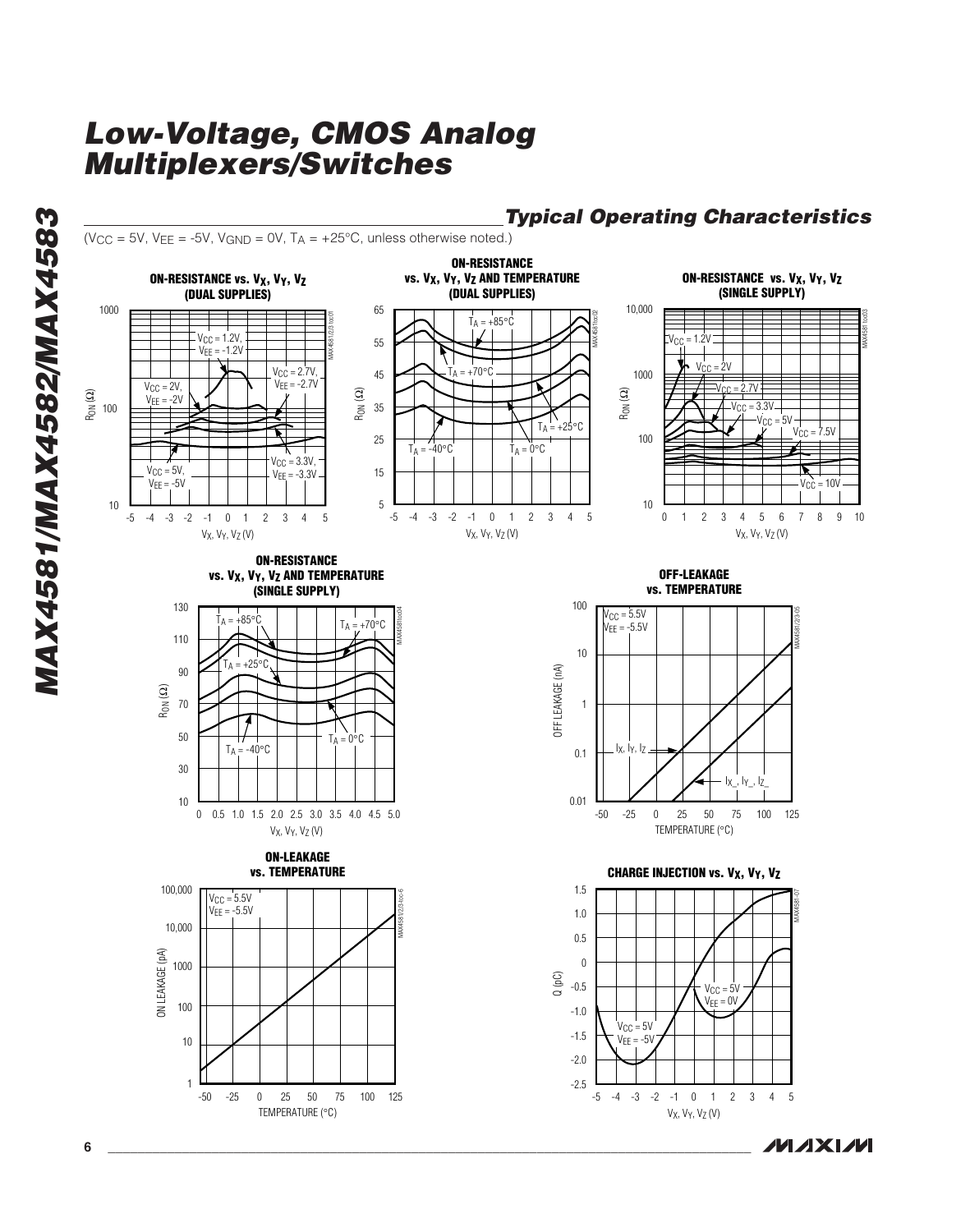**Typical Operating Characteristics** ( $VCC = 5V$ ,  $VEE = -5V$ ,  $VGND = 0V$ ,  $TA = +25°C$ , unless otherwise noted.)

MAX4581/2/3 toc01

## 1000 10  $-5$   $-4$   $-3$   $-2$   $-1$  0 1 2 3 4 5 **ON-RESISTANCE vs. V X, V Y, V Z (DUAL SUPPLIES)** V X, V Y, VZ (V)  $\frac{\widehat{Q}}{\widetilde{E}}$  100  $V_{CC} = 2.7V,$ <br> $V_{EE} = -2.7V$  $V_{\text{CC}} = 2V$ ,  $V_{FF} = -2V$  $V_{CE} = -1.2V,$ <br>  $V_{CE} = -1.2V,$ <br>  $V_{CE} = -2.7V,$ <br>  $V_{EE} = -2.7V,$ <br>  $V_{EE} = -3.3V,$ <br>  $V_{CE} = 5V,$ <br>  $V_{EE} = -3.3V,$ <br>  $V_{EE} = -3.3V,$ <br>  $V_{EE} = -3.3V,$



**ON-RESISTANCE**

#### 10,000 **ON-RESISTANCE vs. V X, V Y, V Z (SINGLE SUPPLY)** 100 1000 MAX4581 too03 RON (Ω)  $V_{CC} = 7.5V$  $V_{\rm CC}$  = 5V  $V_{\text{CC}} = 3.3V$  $V_{\text{CC}}$  = 2.7V  $\overline{2}$  $V_{\text{CC}}$  = 1.2V



 $V_{\text{CC}} = 10V$ 









**OFF-LEAKAGE vs. TEMPERATURE**

10



**CHARGE INJECTION vs. V X, V Y, V Z**



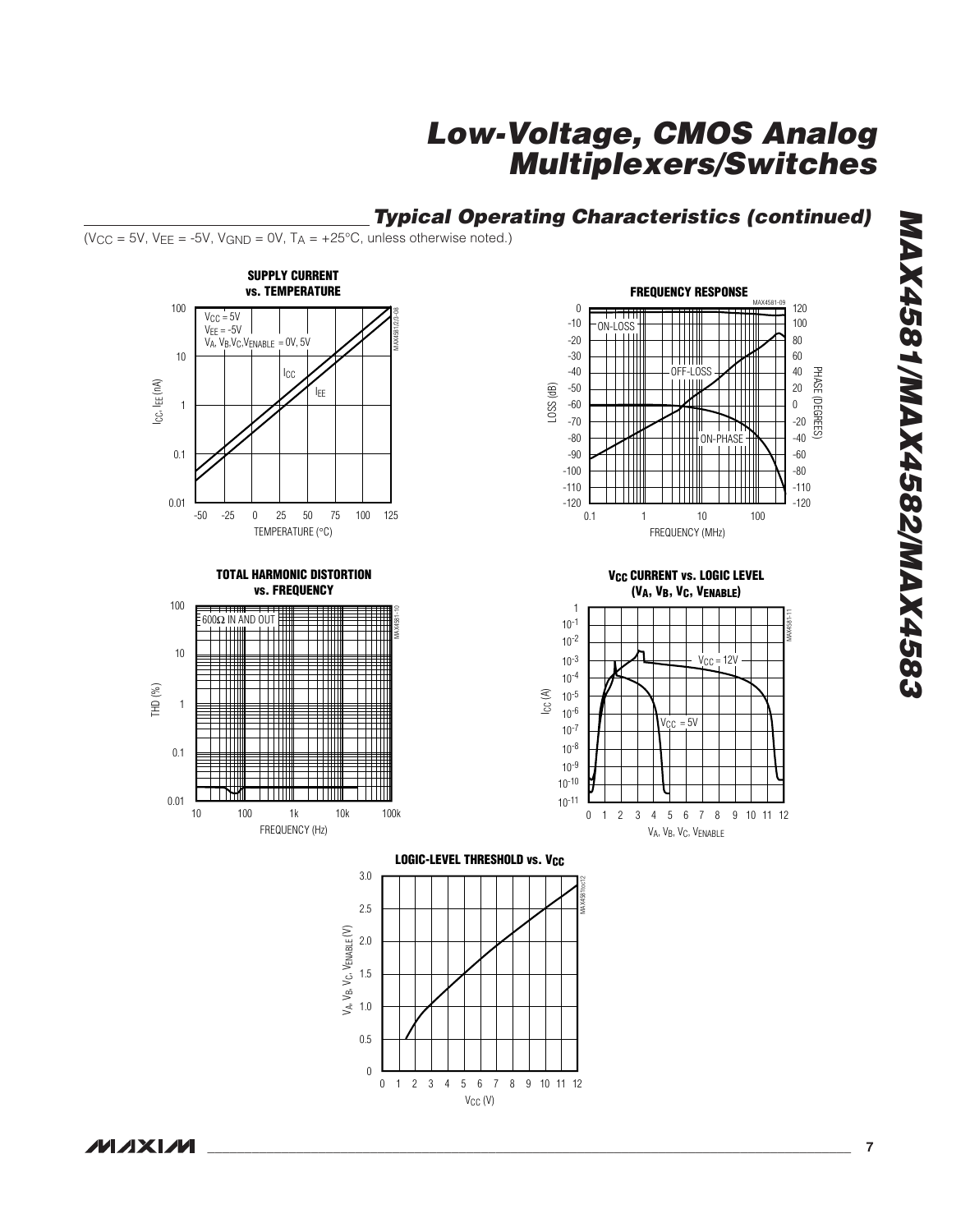**Typical Operating Characteristics (continued)**

( $VCC = 5V$ ,  $VEE = -5V$ ,  $VGND = 0V$ ,  $TA = +25°C$ , unless otherwise noted.)

















**MAX4581/MAX4582/MAX4583 2894XAM/2824XAM/1824XAM**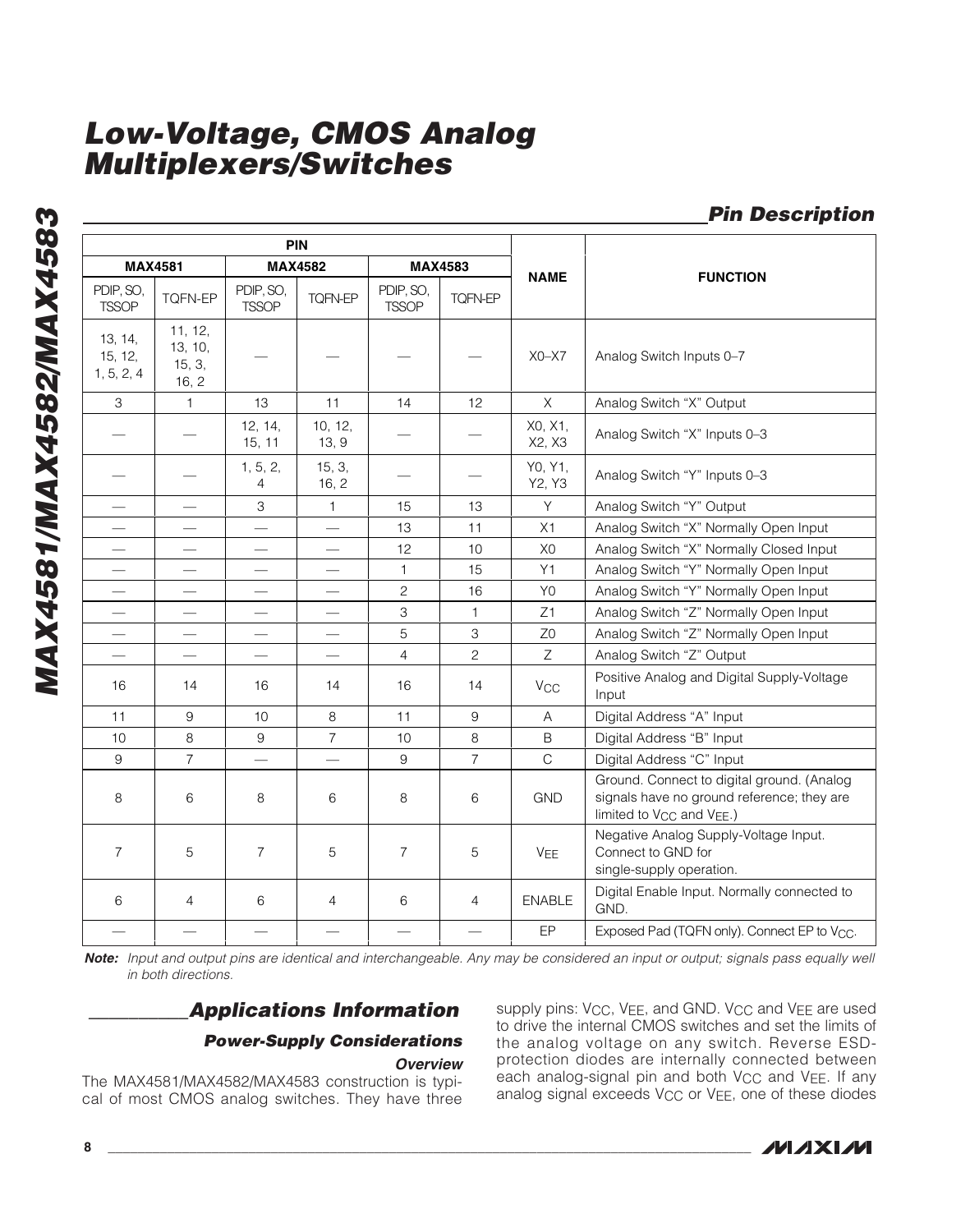**MAX4581/MAX4582/MAX4583 MAX4581/MAX4582/MAX4583**

|                                  | PIN                                   |                           |                          |                           |                |                       |                                                                                                                                               |
|----------------------------------|---------------------------------------|---------------------------|--------------------------|---------------------------|----------------|-----------------------|-----------------------------------------------------------------------------------------------------------------------------------------------|
| <b>MAX4581</b>                   |                                       |                           | <b>MAX4582</b>           |                           | <b>MAX4583</b> |                       |                                                                                                                                               |
| PDIP, SO,<br><b>TSSOP</b>        | <b>TQFN-EP</b>                        | PDIP, SO,<br><b>TSSOP</b> | <b>TQFN-EP</b>           | PDIP, SO,<br><b>TSSOP</b> | <b>TQFN-EP</b> | <b>NAME</b>           | <b>FUNCTION</b>                                                                                                                               |
| 13, 14,<br>15, 12,<br>1, 5, 2, 4 | 11, 12,<br>13, 10,<br>15, 3,<br>16, 2 |                           |                          |                           |                | $X0 - X7$             | Analog Switch Inputs 0-7                                                                                                                      |
| 3                                | $\mathbf{1}$                          | 13                        | 11                       | 14                        | 12             | $\times$              | Analog Switch "X" Output                                                                                                                      |
|                                  |                                       | 12, 14,<br>15, 11         | 10, 12,<br>13, 9         |                           |                | X0, X1,<br>X2, X3     | Analog Switch "X" Inputs 0-3                                                                                                                  |
|                                  |                                       | 1, 5, 2,<br>4             | 15, 3,<br>16, 2          |                           |                | Y0, Y1,<br>Y2, Y3     | Analog Switch "Y" Inputs 0-3                                                                                                                  |
|                                  |                                       | 3                         | 1                        | 15                        | 13             | Y                     | Analog Switch "Y" Output                                                                                                                      |
|                                  |                                       |                           |                          | 13                        | 11             | X1                    | Analog Switch "X" Normally Open Input                                                                                                         |
|                                  |                                       | $\overline{\phantom{0}}$  |                          | 12                        | 10             | X <sub>0</sub>        | Analog Switch "X" Normally Closed Input                                                                                                       |
|                                  |                                       |                           |                          | 1                         | 15             | Y1                    | Analog Switch "Y" Normally Open Input                                                                                                         |
| $\overline{\phantom{0}}$         |                                       |                           |                          | $\mathbf{2}$              | 16             | Y <sub>0</sub>        | Analog Switch "Y" Normally Open Input                                                                                                         |
| $\overline{\phantom{0}}$         | $\overline{\phantom{0}}$              |                           |                          | 3                         | 1              | Z1                    | Analog Switch "Z" Normally Open Input                                                                                                         |
| $\overline{\phantom{0}}$         |                                       | $\overline{\phantom{0}}$  | $\overline{\phantom{0}}$ | 5                         | 3              | Z <sub>0</sub>        | Analog Switch "Z" Normally Open Input                                                                                                         |
|                                  |                                       | $\overline{\phantom{0}}$  | $\overline{\phantom{0}}$ | $\overline{4}$            | $\overline{c}$ | Ζ                     | Analog Switch "Z" Output                                                                                                                      |
| 16                               | 14                                    | 16                        | 14                       | 16                        | 14             | <b>V<sub>CC</sub></b> | Positive Analog and Digital Supply-Voltage<br>Input                                                                                           |
| 11                               | 9                                     | 10                        | 8                        | 11                        | 9              | A                     | Digital Address "A" Input                                                                                                                     |
| 10 <sup>1</sup>                  | 8                                     | 9                         | $\overline{7}$           | 10                        | 8              | B                     | Digital Address "B" Input                                                                                                                     |
| 9                                | $\overline{7}$                        |                           | $\overline{\phantom{0}}$ | 9                         | $\overline{7}$ | $\mathsf{C}$          | Digital Address "C" Input                                                                                                                     |
| 8                                | 6                                     | 8                         | 6                        | 8                         | 6              | <b>GND</b>            | Ground. Connect to digital ground. (Analog<br>signals have no ground reference; they are<br>limited to V <sub>CC</sub> and V <sub>EE</sub> .) |
| $\overline{7}$                   | 5                                     | $\overline{7}$            | 5                        | $\overline{7}$            | 5              | <b>VEE</b>            | Negative Analog Supply-Voltage Input.<br>Connect to GND for<br>single-supply operation.                                                       |
| 6                                | $\overline{4}$                        | 6                         | $\overline{4}$           | 6                         | $\overline{4}$ | <b>ENABLE</b>         | Digital Enable Input. Normally connected to<br>GND.                                                                                           |
|                                  |                                       |                           |                          |                           |                | EP                    | Exposed Pad (TQFN only). Connect EP to Vcc.                                                                                                   |

**Note:** Input and output pins are identical and interchangeable. Any may be considered an input or output; signals pass equally well in both directions.

### **\_\_\_\_\_\_\_\_\_\_Applications Information**

#### **Power-Supply Considerations**

#### **Overview**

The MAX4581/MAX4582/MAX4583 construction is typical of most CMOS analog switches. They have three supply pins: V<sub>CC</sub>, V<sub>EE</sub>, and GND. V<sub>CC</sub> and V<sub>EE</sub> are used to drive the internal CMOS switches and set the limits of the analog voltage on any switch. Reverse ESDprotection diodes are internally connected between each analog-signal pin and both V<sub>CC</sub> and V<sub>EE</sub>. If any analog signal exceeds V<sub>CC</sub> or V<sub>EE</sub>, one of these diodes



**Pin Description**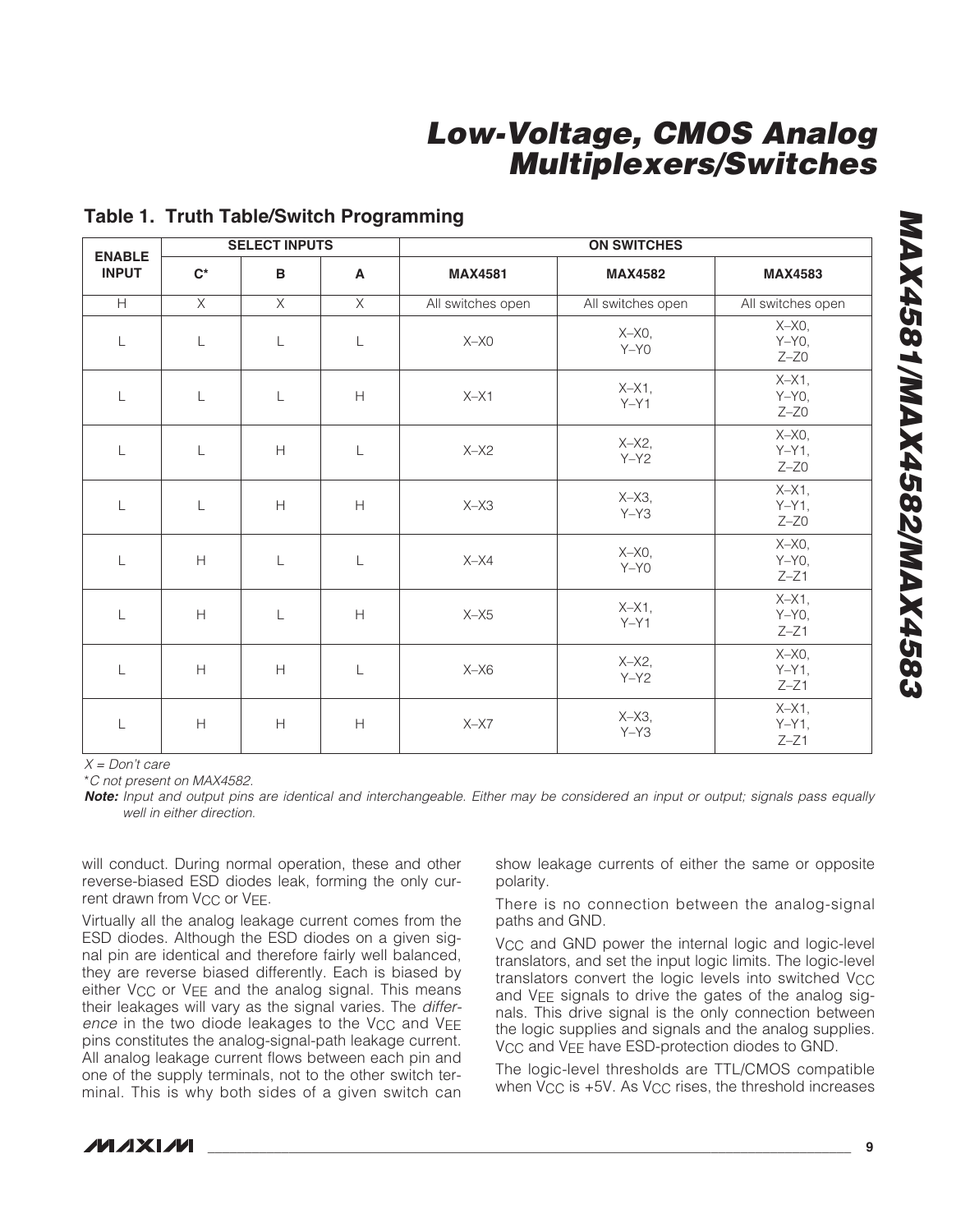| <b>ENABLE</b> | <b>SELECT INPUTS</b>                                        |                |                                                               | <b>ON SWITCHES</b> |                       |                                    |  |
|---------------|-------------------------------------------------------------|----------------|---------------------------------------------------------------|--------------------|-----------------------|------------------------------------|--|
| <b>INPUT</b>  | $C^*$                                                       | B              | $\mathsf{A}$                                                  | <b>MAX4581</b>     | <b>MAX4582</b>        | <b>MAX4583</b>                     |  |
| H             | $\overline{X}$                                              | $\overline{X}$ | $\times$                                                      | All switches open  | All switches open     | All switches open                  |  |
| $\mathsf{L}$  | $\mathsf{L}$                                                | $\mathsf{L}$   | $\mathsf L$                                                   | $X-X0$             | $X-X0$ ,<br>$Y - Y0$  | $X-X0$ ,<br>$Y-Y0$ ,<br>$Z - ZO$   |  |
| $\mathsf{L}$  | $\mathsf L$                                                 | $\mathsf{L}$   | $\boldsymbol{\mathsf{H}}$                                     | $X-X1$             | $X-X1$ ,<br>$Y - Y1$  | $X-X1$ ,<br>$Y-Y0$<br>$Z - Z0$     |  |
| L             | L                                                           | H              | $\mathsf{L}$                                                  | $X-X2$             | $X-X2$ ,<br>$Y-Y2$    | $X-X0,$<br>$Y-Y1$ ,<br>$Z - Z0$    |  |
| $\mathsf{L}$  | L                                                           | H              | H                                                             | $X-X3$             | $X-X3$ ,<br>$Y - Y3$  | $X - X1$ ,<br>$Y-Y1$ ,<br>$Z - ZO$ |  |
| $\mathsf{L}$  | $\mathsf{H}% _{\mathbb{R}}^{1}\left( \mathbb{R}^{2}\right)$ | $\mathsf{L}$   | $\mathsf{L}$                                                  | $X-X4$             | $X-X0$ ,<br>$Y - Y0$  | $X-X0$ ,<br>$Y - Y0$ ,<br>$Z - Z1$ |  |
| $\mathsf{L}$  | $\mathsf{H}% _{\mathbb{R}}^{1}\left( \mathbb{R}^{2}\right)$ | L              | H                                                             | $X - X5$           | $X-X1$ ,<br>$Y - Y 1$ | $X-X1$ ,<br>$Y-Y0$ ,<br>$Z - Z1$   |  |
| $\mathsf{L}$  | H                                                           | H              | $\mathsf{L}$                                                  | $X-X6$             | $X-X2$<br>$Y - Y2$    | $X-X0$ ,<br>$Y-Y1$ ,<br>$Z - Z1$   |  |
| L             | H                                                           | H              | $\mathsf{H}% _{\mathbb{R}}^{1}\!\left( \mathbb{R}^{2}\right)$ | $X - X7$           | $X-X3$ ,<br>$Y - Y3$  | $X-X1$ ,<br>$Y-Y1$ ,<br>$Z - Z1$   |  |

### **Table 1. Truth Table/Switch Programming**

 $X = Don't care$ 

\*C not present on MAX4582.

**Note:** Input and output pins are identical and interchangeable. Either may be considered an input or output; signals pass equally well in either direction.

will conduct. During normal operation, these and other reverse-biased ESD diodes leak, forming the only current drawn from V<sub>CC</sub> or V<sub>EE</sub>.

Virtually all the analog leakage current comes from the ESD diodes. Although the ESD diodes on a given signal pin are identical and therefore fairly well balanced, they are reverse biased differently. Each is biased by either V<sub>CC</sub> or V<sub>EE</sub> and the analog signal. This means their leakages will vary as the signal varies. The difference in the two diode leakages to the V<sub>CC</sub> and VEE pins constitutes the analog-signal-path leakage current. All analog leakage current flows between each pin and one of the supply terminals, not to the other switch terminal. This is why both sides of a given switch can

show leakage currents of either the same or opposite polarity.

There is no connection between the analog-signal paths and GND.

V<sub>CC</sub> and GND power the internal logic and logic-level translators, and set the input logic limits. The logic-level translators convert the logic levels into switched VCC and VEE signals to drive the gates of the analog signals. This drive signal is the only connection between the logic supplies and signals and the analog supplies. V<sub>CC</sub> and V<sub>FF</sub> have ESD-protection diodes to GND.

The logic-level thresholds are TTL/CMOS compatible when  $V_{CC}$  is  $+5V$ . As  $V_{CC}$  rises, the threshold increases

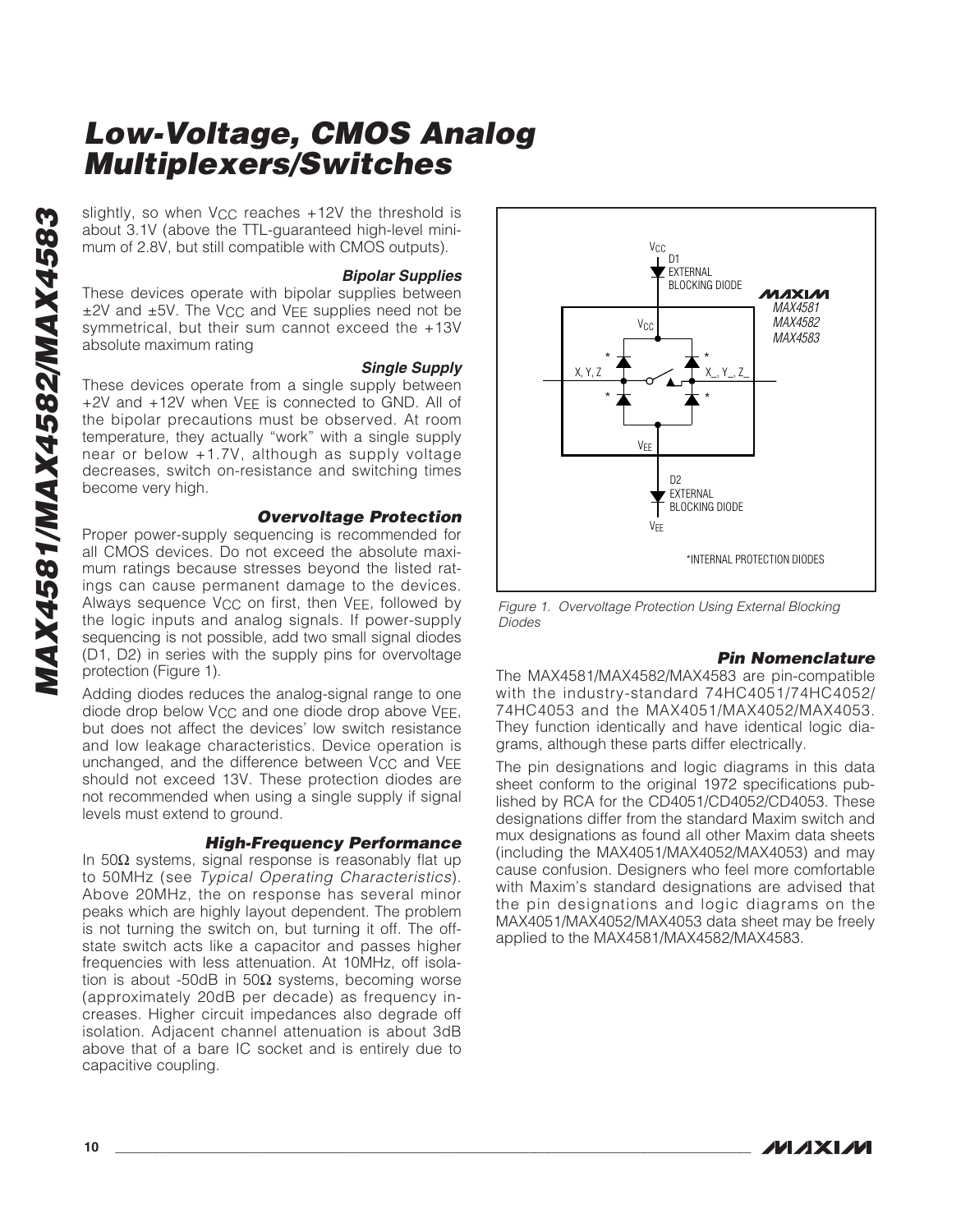about 3.1V (above the TTL-guaranteed high-level minimum of 2.8V, but still compatible with CMOS outputs).

#### **Bipolar Supplies**

These devices operate with bipolar supplies between ±2V and ±5V. The VCC and VEE supplies need not be symmetrical, but their sum cannot exceed the +13V absolute maximum rating

**Single Supply** These devices operate from a single supply between +2V and +12V when VEE is connected to GND. All of the bipolar precautions must be observed. At room temperature, they actually "work" with a single supply near or below +1.7V, although as supply voltage decreases, switch on-resistance and switching times become very high.

#### **Overvoltage Protection**

slightly, so when V<sub>CC</sub> reaches +12V the threshold is<br>about 3.1V (above the TTL-guaranted high-level mini-<br>mum of 2.8V, but still compatible with CMOS outputs).<br>**Bipolar Supplies**<br>These devices operate with bipolar supplie Proper power-supply sequencing is recommended for all CMOS devices. Do not exceed the absolute maximum ratings because stresses beyond the listed ratings can cause permanent damage to the devices. Always sequence  $V_{CC}$  on first, then  $V_{EE}$ , followed by the logic inputs and analog signals. If power-supply sequencing is not possible, add two small signal diodes (D1, D2) in series with the supply pins for overvoltage protection (Figure 1).

Adding diodes reduces the analog-signal range to one diode drop below VCC and one diode drop above VEE , but does not affect the devices' low switch resistance and low leakage characteristics. Device operation is unchanged, and the difference between V<sub>CC</sub> and V<sub>EE</sub> should not exceed 13V. These protection diodes are not recommended when using a single supply if signal levels must extend to ground.

#### **High-Frequency Performance**

In 50 $\Omega$  systems, signal response is reasonably flat up to 50MHz (see Typical Operating Characteristics). Above 20MHz, the on response has several minor peaks which are highly layout dependent. The problem is not turning the switch on, but turning it off. The offstate switch acts like a capacitor and passes higher frequencies with less attenuation. At 10MHz, off isolation is about -50dB in 50Ω systems, becoming worse (approximately 20dB per decade) as frequency increases. Higher circuit impedances also degrade off isolation. Adjacent channel attenuation is about 3dB above that of a bare IC socket and is entirely due to capacitive coupling.



Figure 1. Overvoltage Protection Using External Blocking Diodes

#### **Pin Nomenclature**

The MAX4581/MAX4582/MAX4583 are pin-compatible with the industry-standard 74HC4051/74HC4052/ 74HC4053 and the MAX4051/MAX4052/MAX4053. They function identically and have identical logic diagrams, although these parts differ electrically.

The pin designations and logic diagrams in this data sheet conform to the original 1972 specifications published by RCA for the CD4051/CD4052/CD4053. These designations differ from the standard Maxim switch and mux designations as found all other Maxim data sheets (including the MAX4051/MAX4052/MAX4053) and may cause confusion. Designers who feel more comfortable with Maxim's standard designations are advised that the pin designations and logic diagrams on the MAX4051/MAX4052/MAX4053 data sheet may be freely applied to the MAX4581/MAX4582/MAX4583.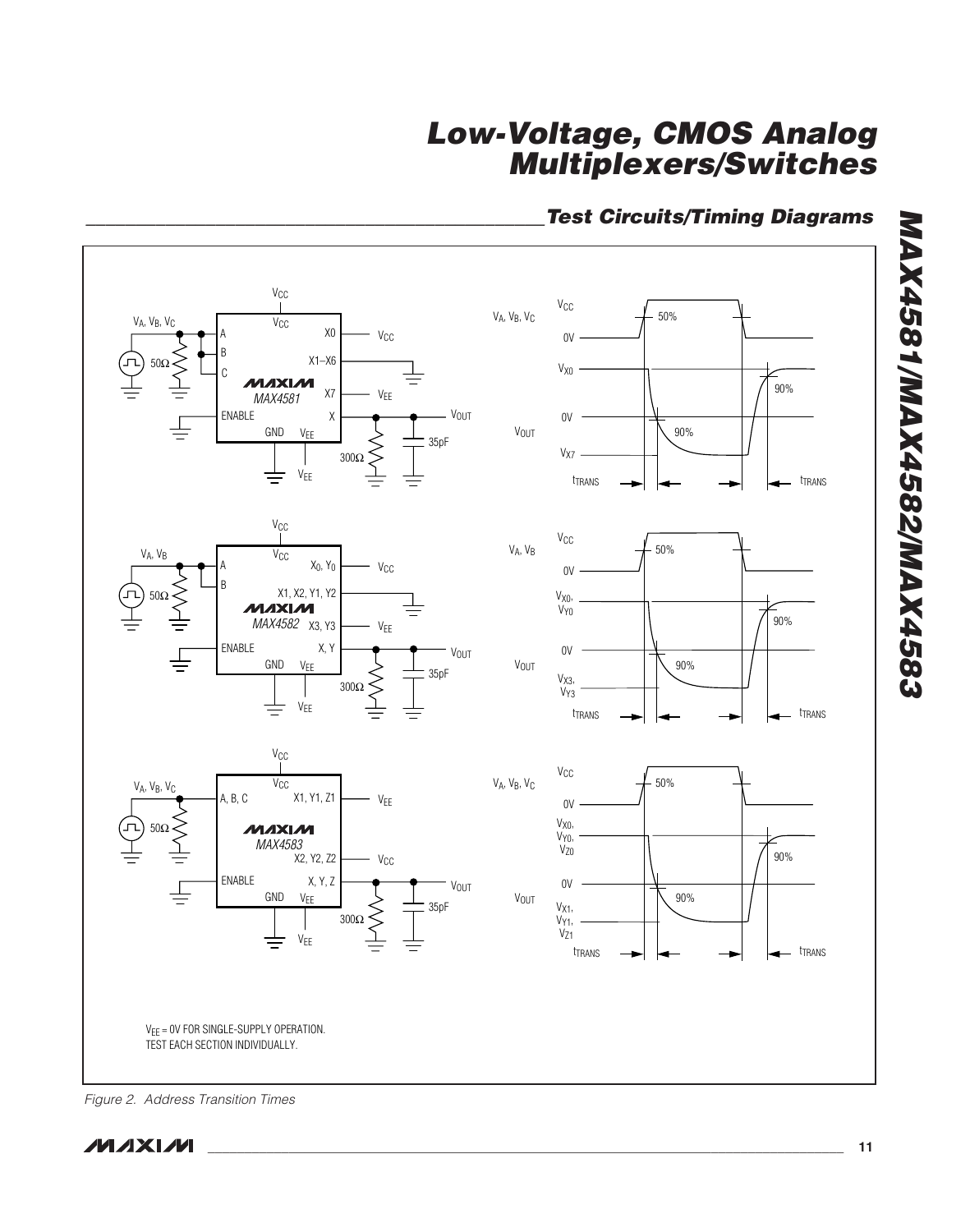### **\_\_\_\_\_\_\_\_\_\_\_\_\_\_\_\_\_\_\_\_\_\_\_\_\_\_\_\_\_\_\_\_\_\_\_\_\_\_\_\_\_\_\_\_\_\_Test Circuits/Timing Diagrams**



Figure 2. Address Transition Times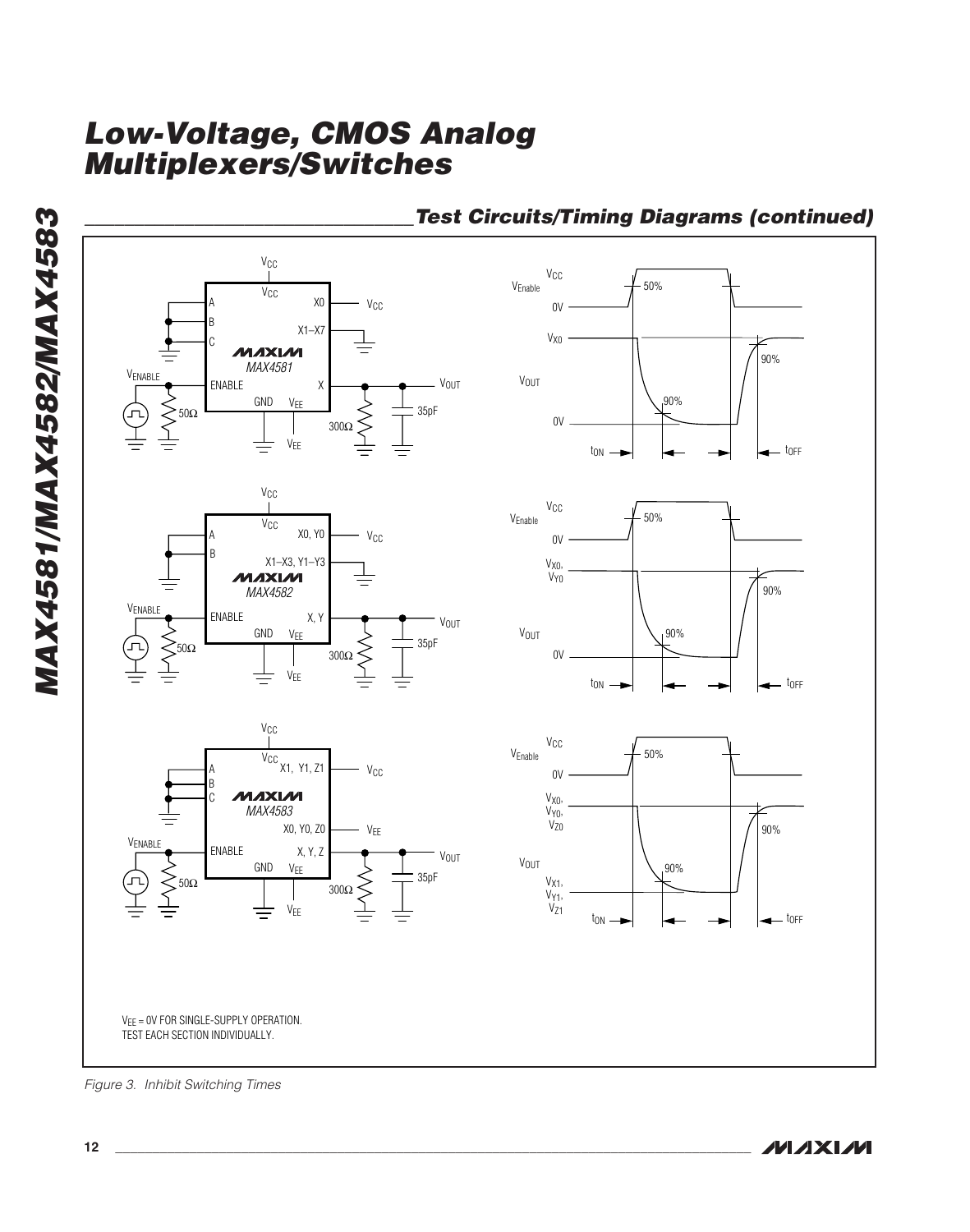

### **\_\_\_\_\_\_\_\_\_\_\_\_\_\_\_\_\_\_\_\_\_\_\_\_\_\_\_\_\_\_\_\_\_Test Circuits/Timing Diagrams (continued)**

Figure 3. Inhibit Switching Times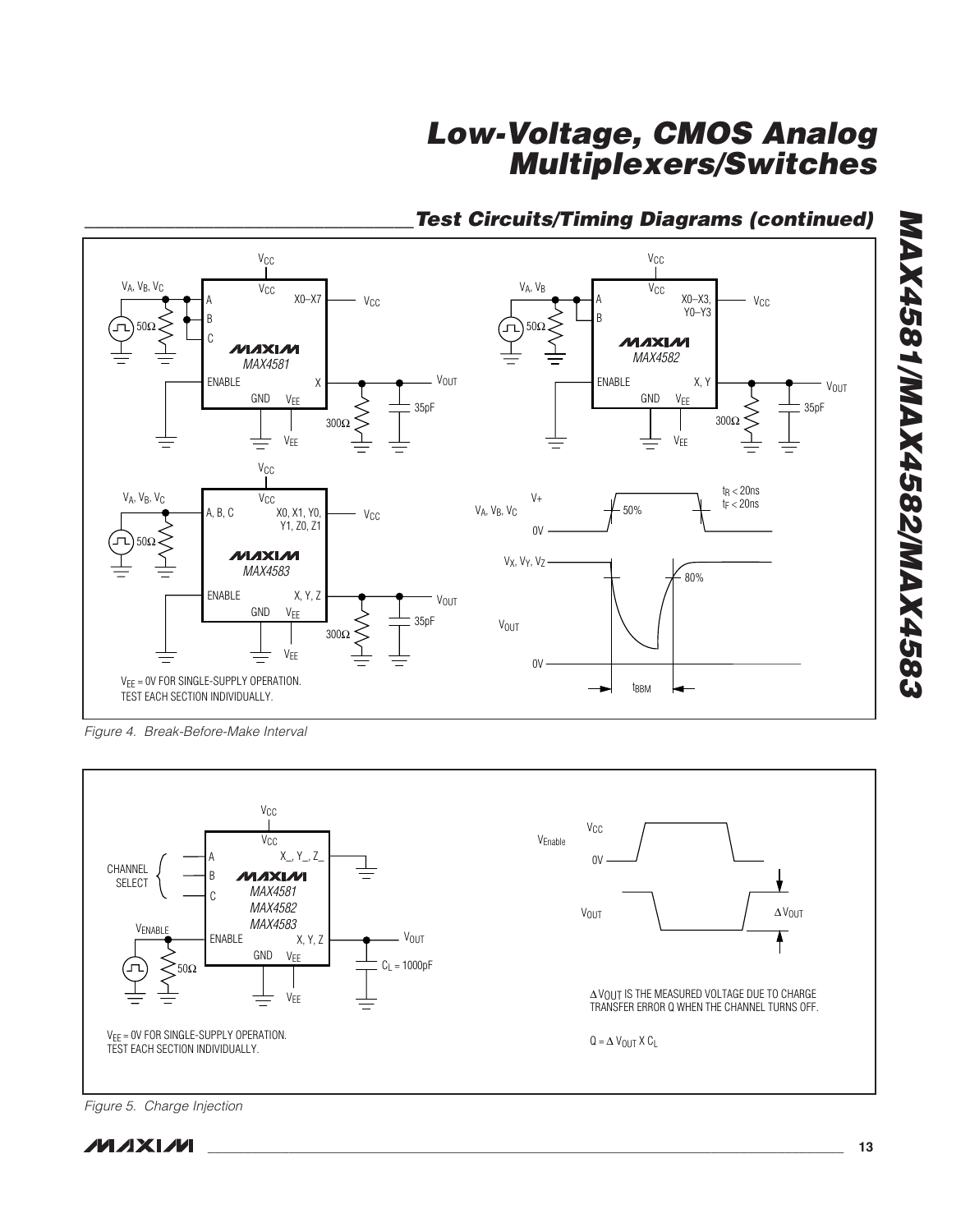

## **\_\_\_\_\_\_\_\_\_\_\_\_\_\_\_\_\_\_\_\_\_\_\_\_\_\_\_\_\_\_\_\_\_Test Circuits/Timing Diagrams (continued)**

Figure 4. Break-Before-Make Interval



Figure 5. Charge Injection

**MAX4581/MAX4582/MAX4583**

**MAX4581/MAX4582/MAX4583**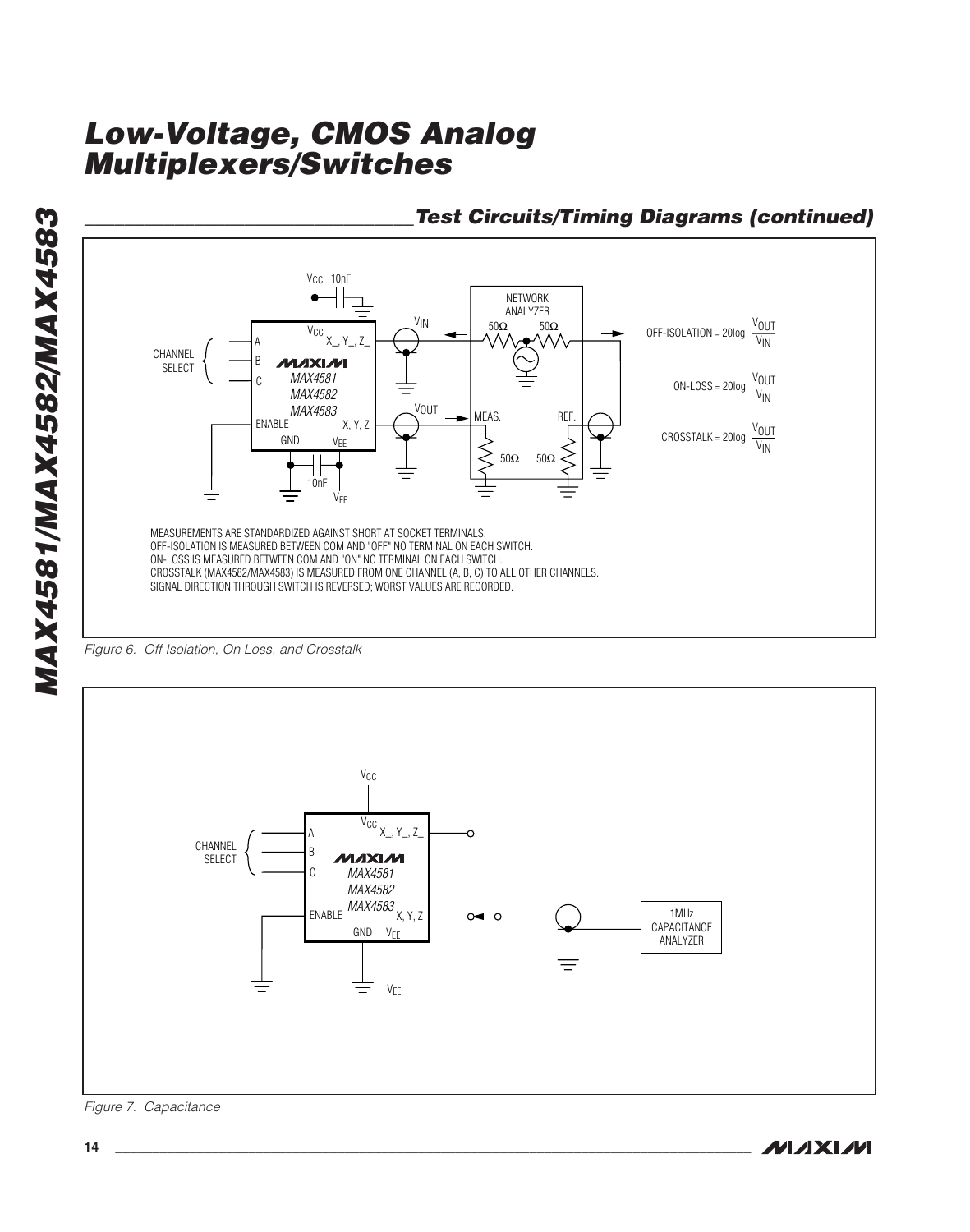

### **\_\_\_\_\_\_\_\_\_\_\_\_\_\_\_\_\_\_\_\_\_\_\_\_\_\_\_\_\_\_\_\_\_Test Circuits/Timing Diagrams (continued)**





Figure 7. Capacitance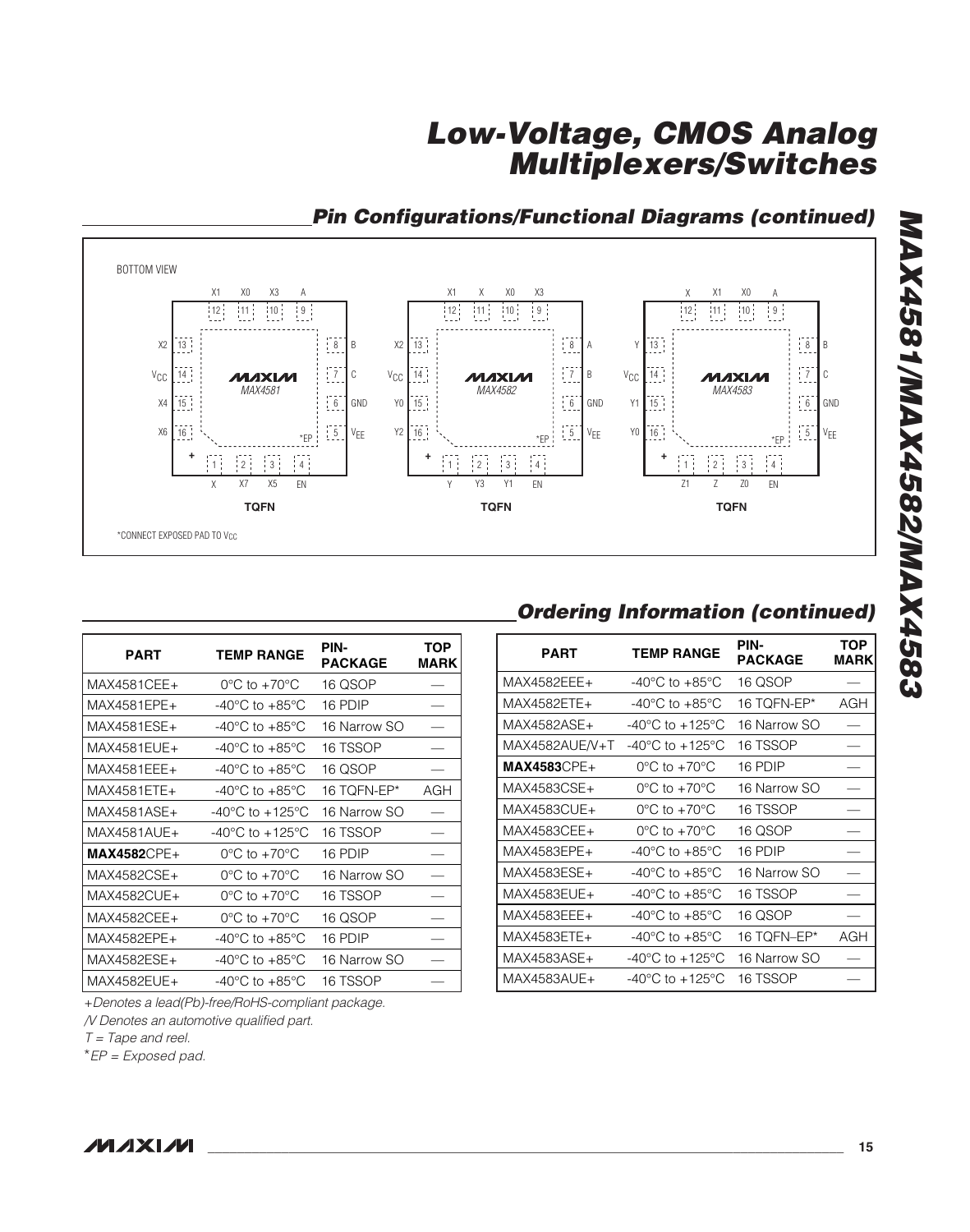



| PART          | <b>TEMP RANGE</b>                    | PIN-<br>PACKAGE | TOP<br><b>MARK</b> |
|---------------|--------------------------------------|-----------------|--------------------|
| MAX4581CEE+   | $0^{\circ}$ C to +70 $^{\circ}$ C    | 16 QSOP         |                    |
| MAX4581EPE+   | -40 $^{\circ}$ C to +85 $^{\circ}$ C | 16 PDIP         |                    |
| MAX4581ESE+   | -40 $^{\circ}$ C to +85 $^{\circ}$ C | 16 Narrow SO    |                    |
| MAX4581EUE+   | -40°C to +85°C                       | 16 TSSOP        |                    |
| MAX4581EEE+   | $-40^{\circ}$ C to $+85^{\circ}$ C   | 16 QSOP         |                    |
| MAX4581ETE+   | -40°C to +85°C                       | 16 TQFN-EP*     | AGH                |
| MAX4581ASF+   | -40°C to +125°C                      | 16 Narrow SO    |                    |
| MAX4581AUE+   | -40°C to +125°C                      | 16 TSSOP        |                    |
| $MAX4582CPE+$ | $0^{\circ}$ C to +70 $^{\circ}$ C    | 16 PDIP         |                    |
| MAX4582CSE+   | $0^{\circ}$ C to $+70^{\circ}$ C     | 16 Narrow SO    |                    |
| MAX4582CUE+   | $0^{\circ}$ C to +70 $^{\circ}$ C    | 16 TSSOP        |                    |
| MAX4582CEE+   | $0^{\circ}$ C to +70 $^{\circ}$ C    | 16 QSOP         |                    |
| MAX4582EPE+   | -40°C to +85°C                       | 16 PDIP         |                    |
| MAX4582ESE+   | -40°C to +85°C                       | 16 Narrow SO    |                    |
| MAX4582EUE+   | -40°C to +85°C                       | 16 TSSOP        |                    |

+Denotes a lead(Pb)-free/RoHS-compliant package.

/V Denotes an automotive qualified part.

 $T = \text{Tape}$  and reel.

\*EP = Exposed pad.

## **Ordering Information (continued)**

| <b>PART</b>    | <b>TEMP RANGE</b>                   | PIN-<br><b>PACKAGE</b> | <b>TOP</b><br><b>MARK</b> |
|----------------|-------------------------------------|------------------------|---------------------------|
| MAX4582EEE+    | $-40^{\circ}$ C to $+85^{\circ}$ C  | 16 QSOP                |                           |
| MAX4582ETE+    | -40°C to +85°C                      | 16 TQFN-EP*            | AGH                       |
| MAX4582ASE+    | $-40^{\circ}$ C to $+125^{\circ}$ C | 16 Narrow SO           |                           |
| MAX4582AUE/V+T | -40°C to +125°C                     | 16 TSSOP               |                           |
| $MAX4583CPE+$  | $0^{\circ}$ C to +70 $^{\circ}$ C   | 16 PDIP                |                           |
| MAX4583CSE+    | $0^{\circ}$ C to +70 $^{\circ}$ C   | 16 Narrow SO           |                           |
| MAX4583CUE+    | $0^{\circ}$ C to +70 $^{\circ}$ C   | 16 TSSOP               |                           |
| MAX4583CEE+    | $0^{\circ}$ C to +70 $^{\circ}$ C   | 16 QSOP                |                           |
| MAX4583EPE+    | $-40^{\circ}$ C to $+85^{\circ}$ C  | 16 PDIP                |                           |
| MAX4583ESE+    | -40°C to +85°C                      | 16 Narrow SO           |                           |
| MAX4583EUE+    | -40°C to +85°C                      | 16 TSSOP               |                           |
| MAX4583EEE+    | $-40^{\circ}$ C to $+85^{\circ}$ C  | 16 QSOP                |                           |
| MAX4583ETE+    | $-40^{\circ}$ C to $+85^{\circ}$ C  | 16 TQFN-EP*            | AGH                       |
| MAX4583ASE+    | $-40^{\circ}$ C to $+125^{\circ}$ C | 16 Narrow SO           |                           |
| MAX4583AUE+    | -40°C to +125°C                     | 16 TSSOP               |                           |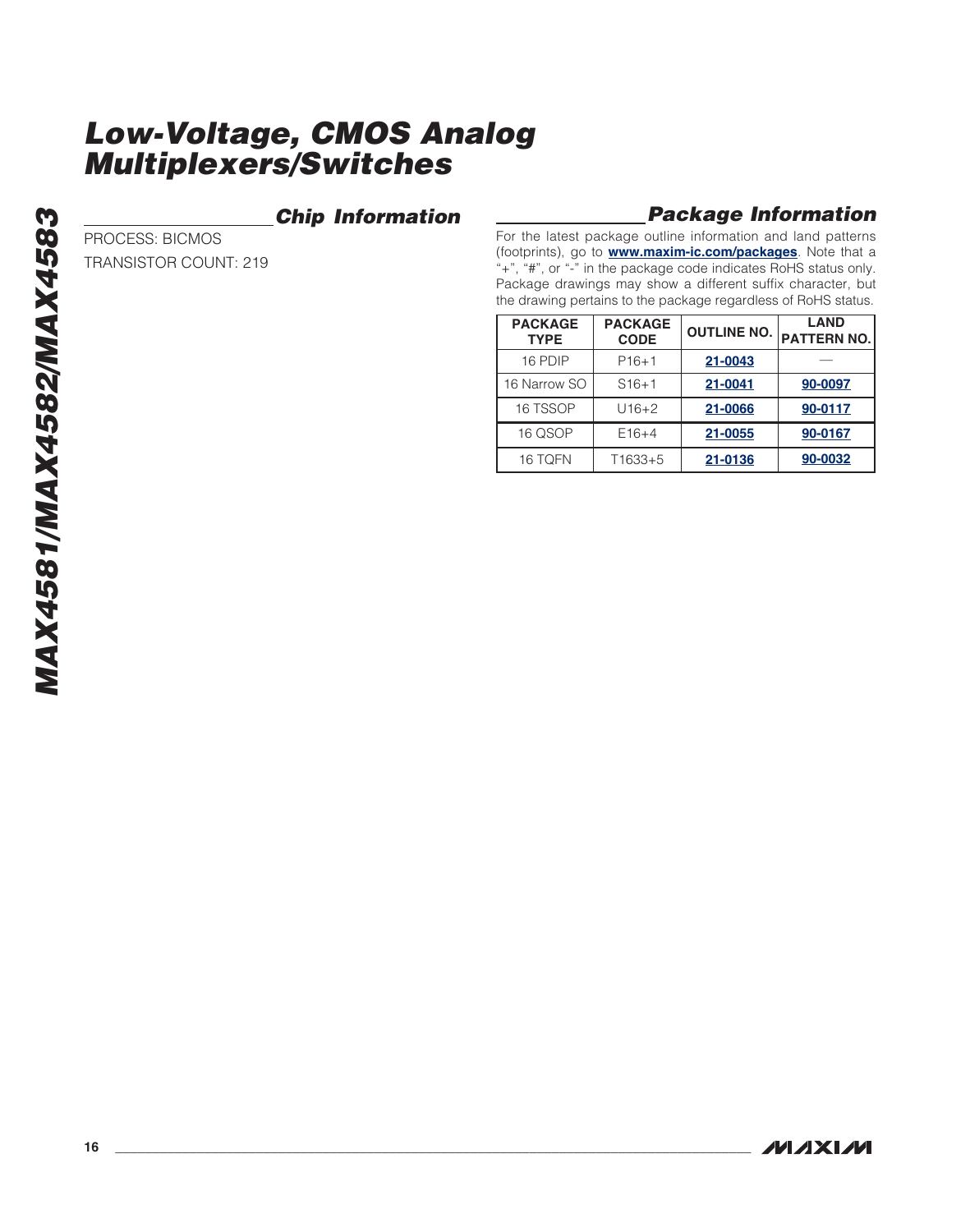### **Chip Information**

### **Package Information**

For the latest package outline information and land patterns (footprints), go to **[www.maxim-ic.com/packages](http://www.maxim-ic.com/packages)**. Note that a "+", "#", or "-" in the package code indicates RoHS status only. Package drawings may show a different suffix character, but the drawing pertains to the package regardless of RoHS status.

| <b>PACKAGE</b><br><b>TYPE</b> | <b>PACKAGE</b><br><b>CODE</b> | <b>OUTLINE NO.</b> | <b>LAND</b><br><b>PATTERN NO.</b> |
|-------------------------------|-------------------------------|--------------------|-----------------------------------|
| 16 PDIP                       | $P16+1$                       | 21-0043            |                                   |
| 16 Narrow SO                  | $S16+1$                       | 21-0041            | 90-0097                           |
| 16 TSSOP                      | $U16+2$                       | 21-0066            | 90-0117                           |
| 16 QSOP                       | $E16+4$                       | 21-0055            | 90-0167                           |
| 16 TQFN                       | T1633+5                       | 21-0136            | 90-0032                           |

PROCESS: BICMOS

TRANSISTOR COUNT: 219